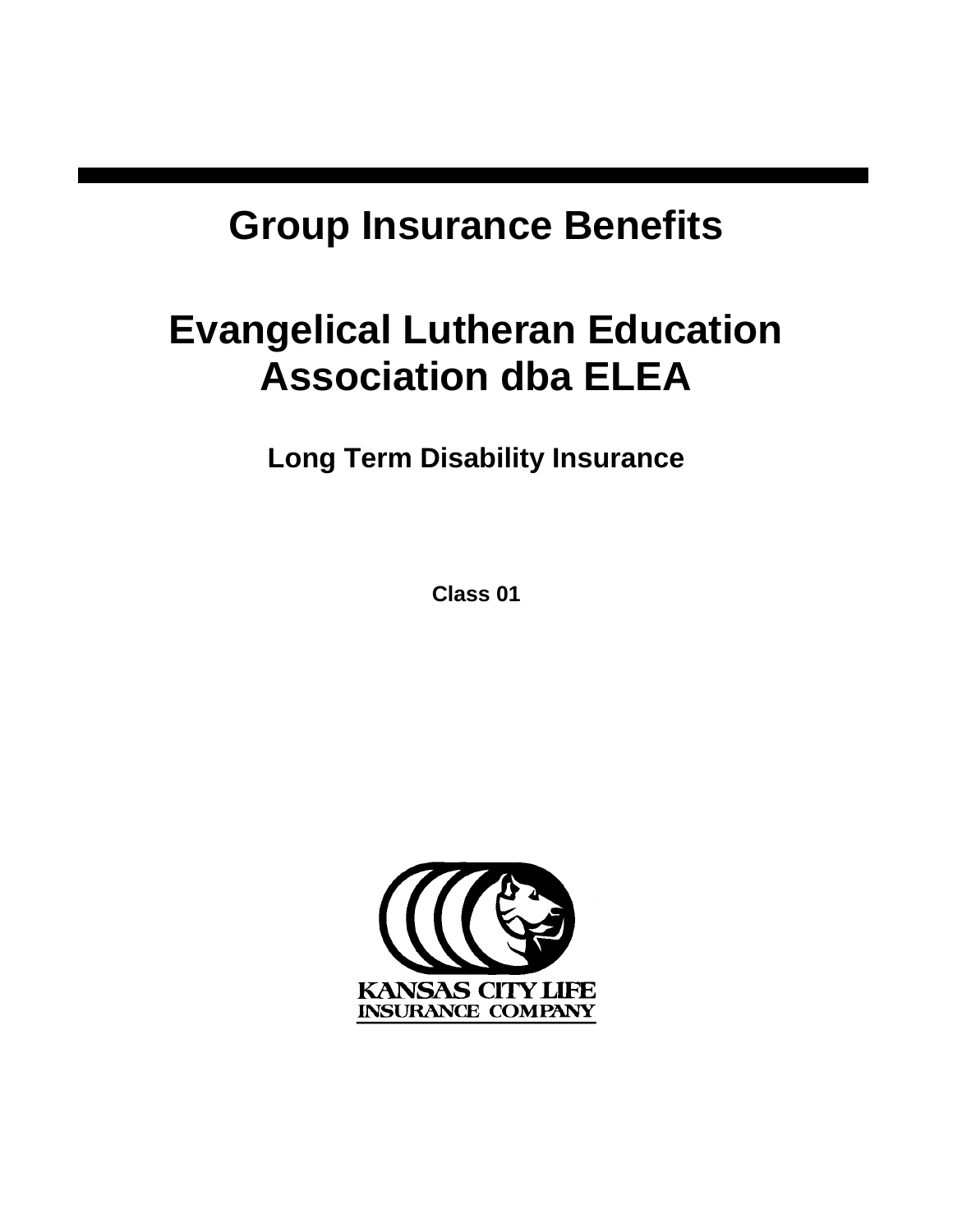# **Group Insurance Benefits**

# **Evangelical Lutheran Education Association dba ELEA**

**Long Term Disability Insurance**

**Class 01**

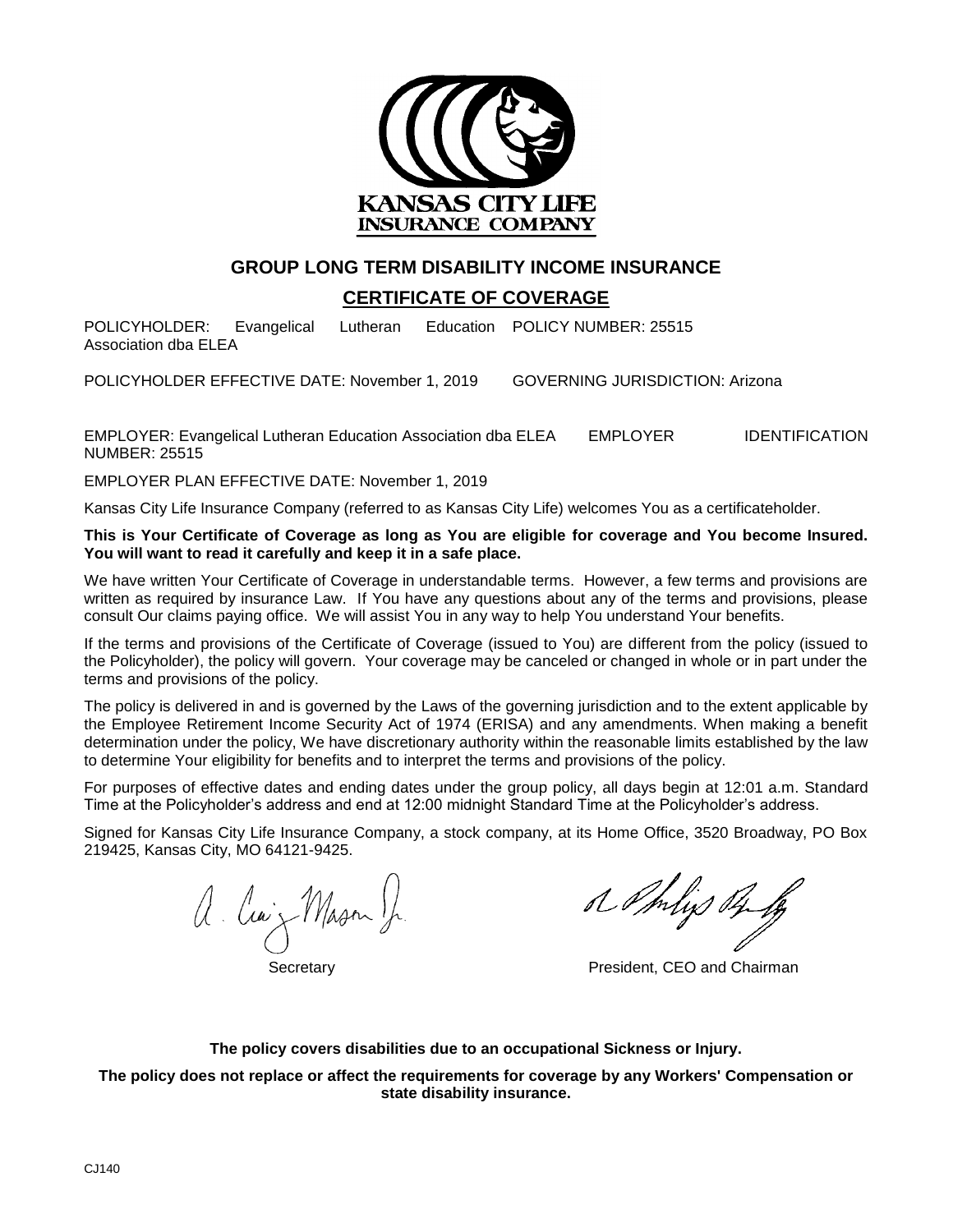

### **GROUP LONG TERM DISABILITY INCOME INSURANCE**

#### **CERTIFICATE OF COVERAGE**

POLICYHOLDER: Evangelical Lutheran Association dba ELEA Education POLICY NUMBER: 25515

POLICYHOLDER EFFECTIVE DATE: November 1, 2019 GOVERNING JURISDICTION: Arizona

EMPLOYER: Evangelical Lutheran Education Association dba ELEA EMPLOYER IDENTIFICATION NUMBER: 25515

EMPLOYER PLAN EFFECTIVE DATE: November 1, 2019

Kansas City Life Insurance Company (referred to as Kansas City Life) welcomes You as a certificateholder.

**This is Your Certificate of Coverage as long as You are eligible for coverage and You become Insured. You will want to read it carefully and keep it in a safe place.** 

We have written Your Certificate of Coverage in understandable terms. However, a few terms and provisions are written as required by insurance Law. If You have any questions about any of the terms and provisions, please consult Our claims paying office. We will assist You in any way to help You understand Your benefits.

If the terms and provisions of the Certificate of Coverage (issued to You) are different from the policy (issued to the Policyholder), the policy will govern. Your coverage may be canceled or changed in whole or in part under the terms and provisions of the policy.

The policy is delivered in and is governed by the Laws of the governing jurisdiction and to the extent applicable by the Employee Retirement Income Security Act of 1974 (ERISA) and any amendments. When making a benefit determination under the policy, We have discretionary authority within the reasonable limits established by the law to determine Your eligibility for benefits and to interpret the terms and provisions of the policy.

For purposes of effective dates and ending dates under the group policy, all days begin at 12:01 a.m. Standard Time at the Policyholder's address and end at 12:00 midnight Standard Time at the Policyholder's address.

Signed for Kansas City Life Insurance Company, a stock company, at its Home Office, 3520 Broadway, PO Box 219425, Kansas City, MO 64121-9425.

a luiz Mason Jr.

o mys of

Secretary **President, CEO and Chairman** 

**The policy covers disabilities due to an occupational Sickness or Injury.**

**The policy does not replace or affect the requirements for coverage by any Workers' Compensation or state disability insurance.**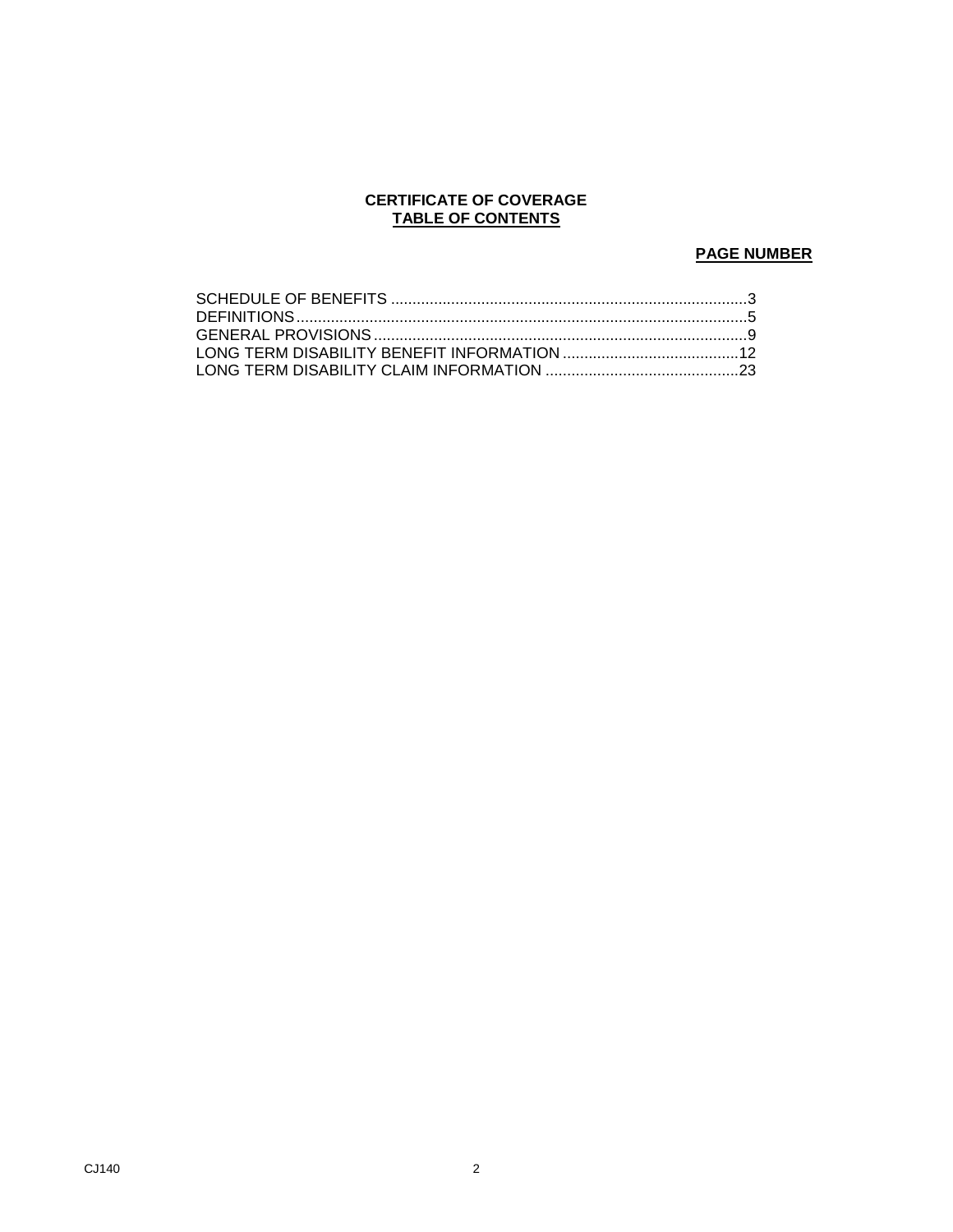#### **CERTIFICATE OF COVERAGE TABLE OF CONTENTS**

### **PAGE NUMBER**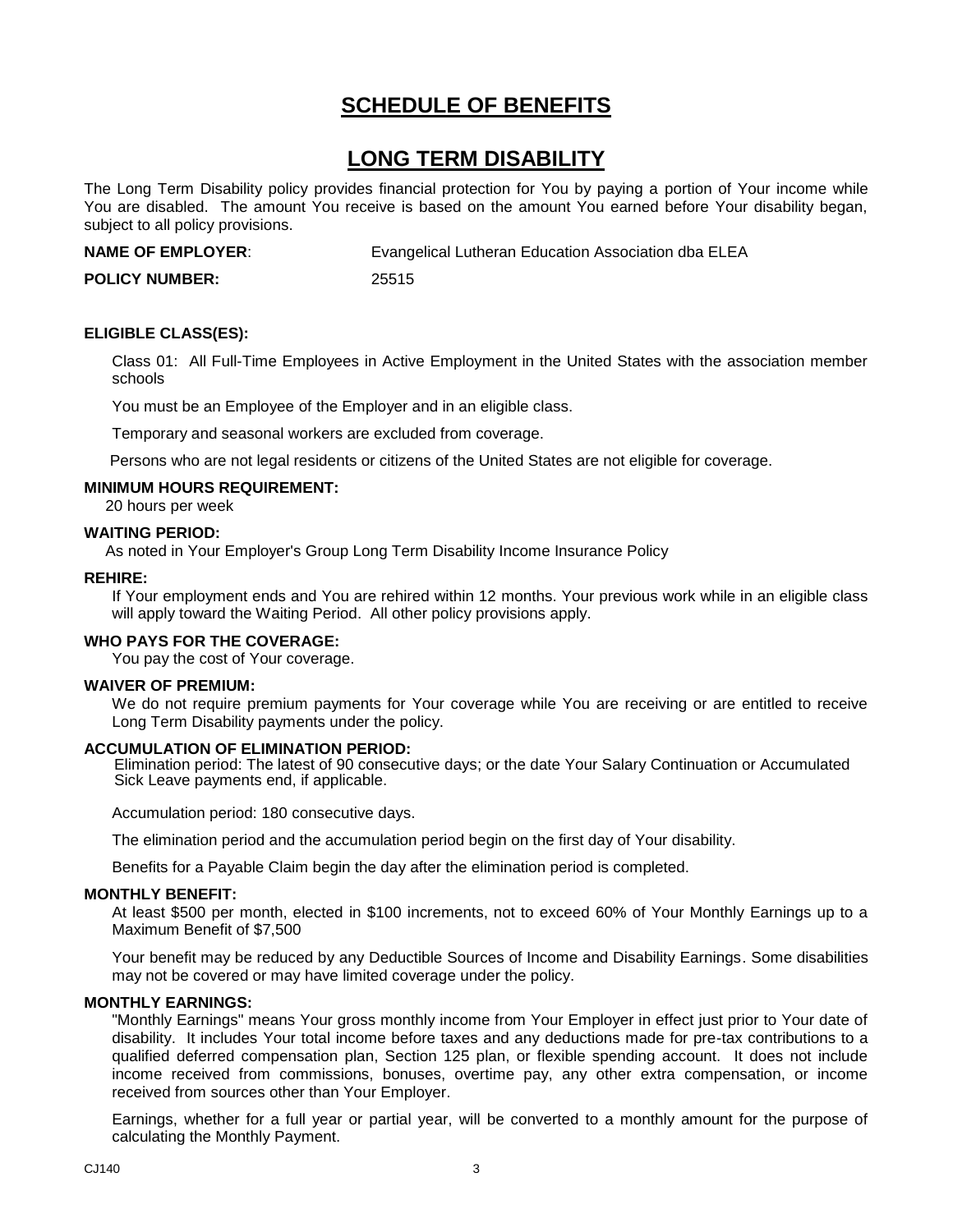# <span id="page-4-0"></span>**SCHEDULE OF BENEFITS**

## **LONG TERM DISABILITY**

The Long Term Disability policy provides financial protection for You by paying a portion of Your income while You are disabled. The amount You receive is based on the amount You earned before Your disability began, subject to all policy provisions.

**NAME OF EMPLOYER:** Evangelical Lutheran Education Association dba ELEA

**POLICY NUMBER:** 25515

#### **ELIGIBLE CLASS(ES):**

Class 01: All Full-Time Employees in Active Employment in the United States with the association member schools

You must be an Employee of the Employer and in an eligible class.

Temporary and seasonal workers are excluded from coverage.

Persons who are not legal residents or citizens of the United States are not eligible for coverage.

#### **MINIMUM HOURS REQUIREMENT:**

20 hours per week

#### **WAITING PERIOD:**

As noted in Your Employer's Group Long Term Disability Income Insurance Policy

#### **REHIRE:**

If Your employment ends and You are rehired within 12 months. Your previous work while in an eligible class will apply toward the Waiting Period. All other policy provisions apply.

#### **WHO PAYS FOR THE COVERAGE:**

You pay the cost of Your coverage.

#### **WAIVER OF PREMIUM:**

We do not require premium payments for Your coverage while You are receiving or are entitled to receive Long Term Disability payments under the policy.

#### **ACCUMULATION OF ELIMINATION PERIOD:**

 Elimination period: The latest of 90 consecutive days; or the date Your Salary Continuation or Accumulated Sick Leave payments end, if applicable.

Accumulation period: 180 consecutive days.

The elimination period and the accumulation period begin on the first day of Your disability.

Benefits for a Payable Claim begin the day after the elimination period is completed.

#### **MONTHLY BENEFIT:**

At least \$500 per month, elected in \$100 increments, not to exceed 60% of Your Monthly Earnings up to a Maximum Benefit of \$7,500

Your benefit may be reduced by any Deductible Sources of Income and Disability Earnings. Some disabilities may not be covered or may have limited coverage under the policy.

#### **MONTHLY EARNINGS:**

"Monthly Earnings" means Your gross monthly income from Your Employer in effect just prior to Your date of disability. It includes Your total income before taxes and any deductions made for pre-tax contributions to a qualified deferred compensation plan, Section 125 plan, or flexible spending account. It does not include income received from commissions, bonuses, overtime pay, any other extra compensation, or income received from sources other than Your Employer.

Earnings, whether for a full year or partial year, will be converted to a monthly amount for the purpose of calculating the Monthly Payment.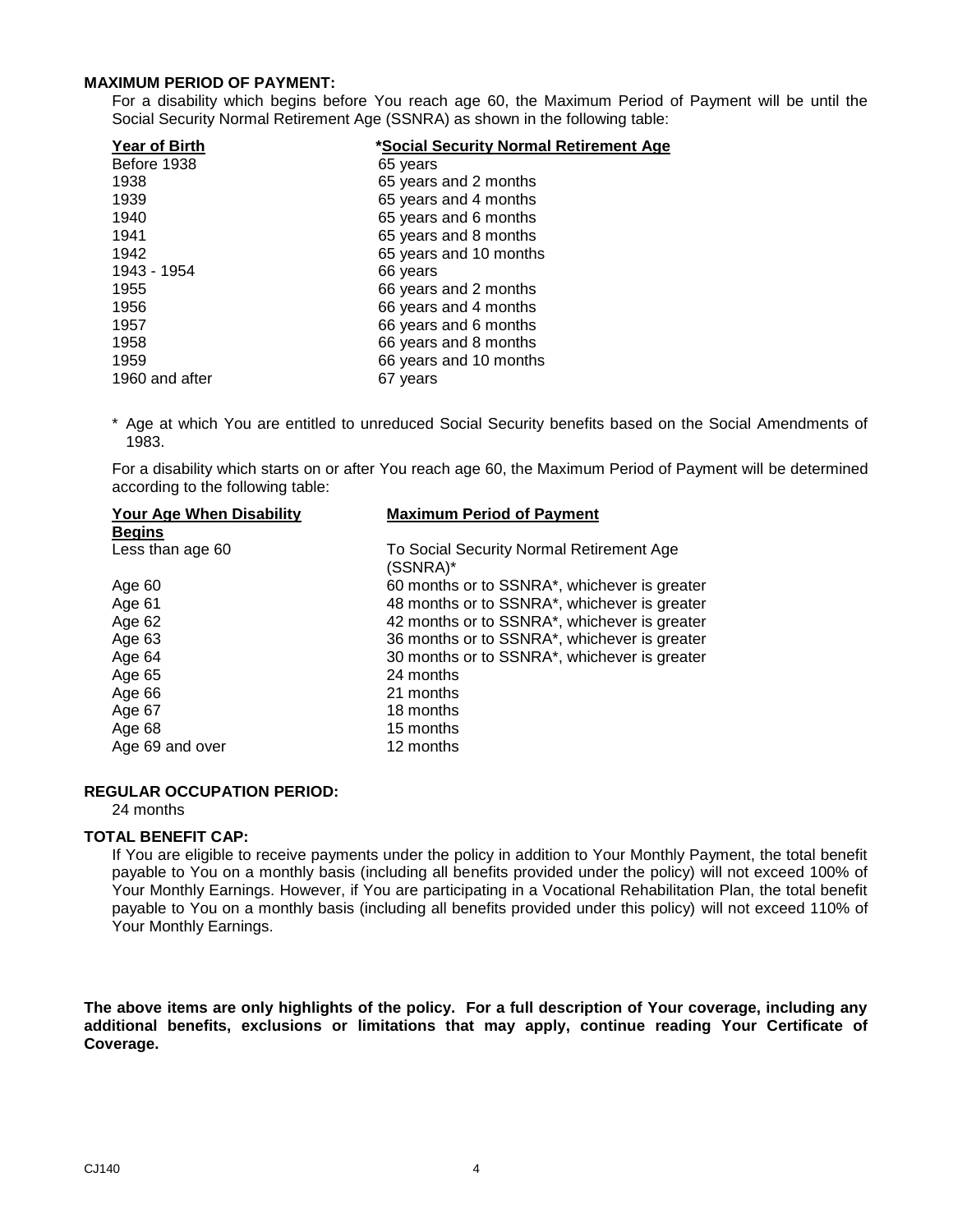#### **MAXIMUM PERIOD OF PAYMENT:**

For a disability which begins before You reach age 60, the Maximum Period of Payment will be until the Social Security Normal Retirement Age (SSNRA) as shown in the following table:

| <b>Year of Birth</b> | *Social Security Normal Retirement Age |
|----------------------|----------------------------------------|
| Before 1938          | 65 years                               |
| 1938                 | 65 years and 2 months                  |
| 1939                 | 65 years and 4 months                  |
| 1940                 | 65 years and 6 months                  |
| 1941                 | 65 years and 8 months                  |
| 1942                 | 65 years and 10 months                 |
| 1943 - 1954          | 66 years                               |
| 1955                 | 66 years and 2 months                  |
| 1956                 | 66 years and 4 months                  |
| 1957                 | 66 years and 6 months                  |
| 1958                 | 66 years and 8 months                  |
| 1959                 | 66 years and 10 months                 |
| 1960 and after       | 67 years                               |

\* Age at which You are entitled to unreduced Social Security benefits based on the Social Amendments of 1983.

For a disability which starts on or after You reach age 60, the Maximum Period of Payment will be determined according to the following table:

| <b>Maximum Period of Payment</b>                     |
|------------------------------------------------------|
|                                                      |
| To Social Security Normal Retirement Age<br>(SSNRA)* |
| 60 months or to SSNRA*, whichever is greater         |
| 48 months or to SSNRA*, whichever is greater         |
| 42 months or to SSNRA*, whichever is greater         |
| 36 months or to SSNRA*, whichever is greater         |
| 30 months or to SSNRA*, whichever is greater         |
| 24 months                                            |
| 21 months                                            |
| 18 months                                            |
| 15 months                                            |
| 12 months                                            |
|                                                      |

#### **REGULAR OCCUPATION PERIOD:**

24 months

#### **TOTAL BENEFIT CAP:**

If You are eligible to receive payments under the policy in addition to Your Monthly Payment, the total benefit payable to You on a monthly basis (including all benefits provided under the policy) will not exceed 100% of Your Monthly Earnings. However, if You are participating in a Vocational Rehabilitation Plan, the total benefit payable to You on a monthly basis (including all benefits provided under this policy) will not exceed 110% of Your Monthly Earnings.

**The above items are only highlights of the policy. For a full description of Your coverage, including any additional benefits, exclusions or limitations that may apply, continue reading Your Certificate of Coverage.**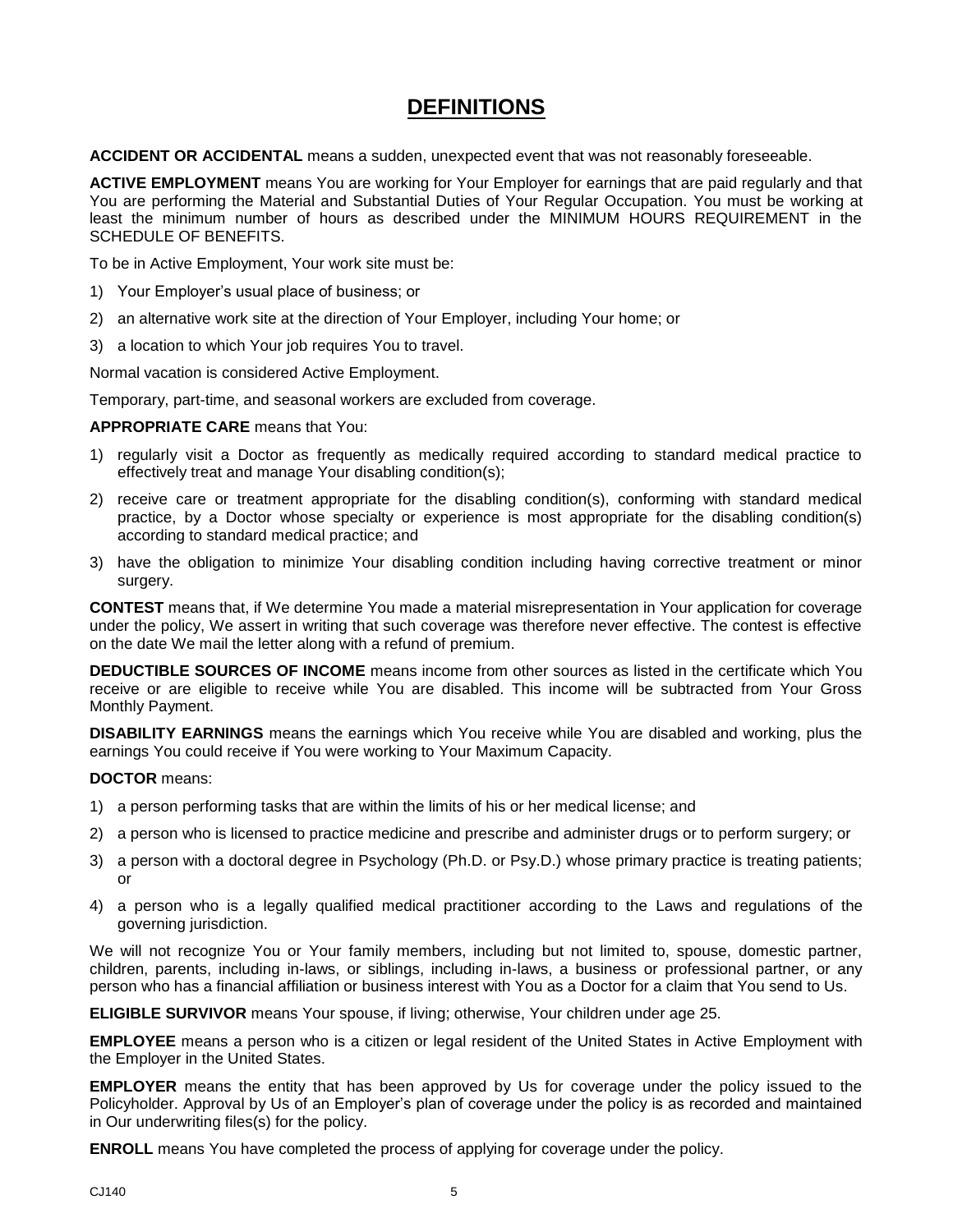# **DEFINITIONS**

<span id="page-6-0"></span>**ACCIDENT OR ACCIDENTAL** means a sudden, unexpected event that was not reasonably foreseeable.

**ACTIVE EMPLOYMENT** means You are working for Your Employer for earnings that are paid regularly and that You are performing the Material and Substantial Duties of Your Regular Occupation. You must be working at least the minimum number of hours as described under the MINIMUM HOURS REQUIREMENT in the SCHEDULE OF BENEFITS.

To be in Active Employment, Your work site must be:

- 1) Your Employer's usual place of business; or
- 2) an alternative work site at the direction of Your Employer, including Your home; or
- 3) a location to which Your job requires You to travel.

Normal vacation is considered Active Employment.

Temporary, part-time, and seasonal workers are excluded from coverage.

#### **APPROPRIATE CARE** means that You:

- 1) regularly visit a Doctor as frequently as medically required according to standard medical practice to effectively treat and manage Your disabling condition(s);
- 2) receive care or treatment appropriate for the disabling condition(s), conforming with standard medical practice, by a Doctor whose specialty or experience is most appropriate for the disabling condition(s) according to standard medical practice; and
- 3) have the obligation to minimize Your disabling condition including having corrective treatment or minor surgery.

**CONTEST** means that, if We determine You made a material misrepresentation in Your application for coverage under the policy, We assert in writing that such coverage was therefore never effective. The contest is effective on the date We mail the letter along with a refund of premium.

**DEDUCTIBLE SOURCES OF INCOME** means income from other sources as listed in the certificate which You receive or are eligible to receive while You are disabled. This income will be subtracted from Your Gross Monthly Payment.

**DISABILITY EARNINGS** means the earnings which You receive while You are disabled and working, plus the earnings You could receive if You were working to Your Maximum Capacity.

#### **DOCTOR** means:

- 1) a person performing tasks that are within the limits of his or her medical license; and
- 2) a person who is licensed to practice medicine and prescribe and administer drugs or to perform surgery; or
- 3) a person with a doctoral degree in Psychology (Ph.D. or Psy.D.) whose primary practice is treating patients; or
- 4) a person who is a legally qualified medical practitioner according to the Laws and regulations of the governing jurisdiction.

We will not recognize You or Your family members, including but not limited to, spouse, domestic partner, children, parents, including in-laws, or siblings, including in-laws, a business or professional partner, or any person who has a financial affiliation or business interest with You as a Doctor for a claim that You send to Us.

**ELIGIBLE SURVIVOR** means Your spouse, if living; otherwise, Your children under age 25.

**EMPLOYEE** means a person who is a citizen or legal resident of the United States in Active Employment with the Employer in the United States.

**EMPLOYER** means the entity that has been approved by Us for coverage under the policy issued to the Policyholder. Approval by Us of an Employer's plan of coverage under the policy is as recorded and maintained in Our underwriting files(s) for the policy.

**ENROLL** means You have completed the process of applying for coverage under the policy.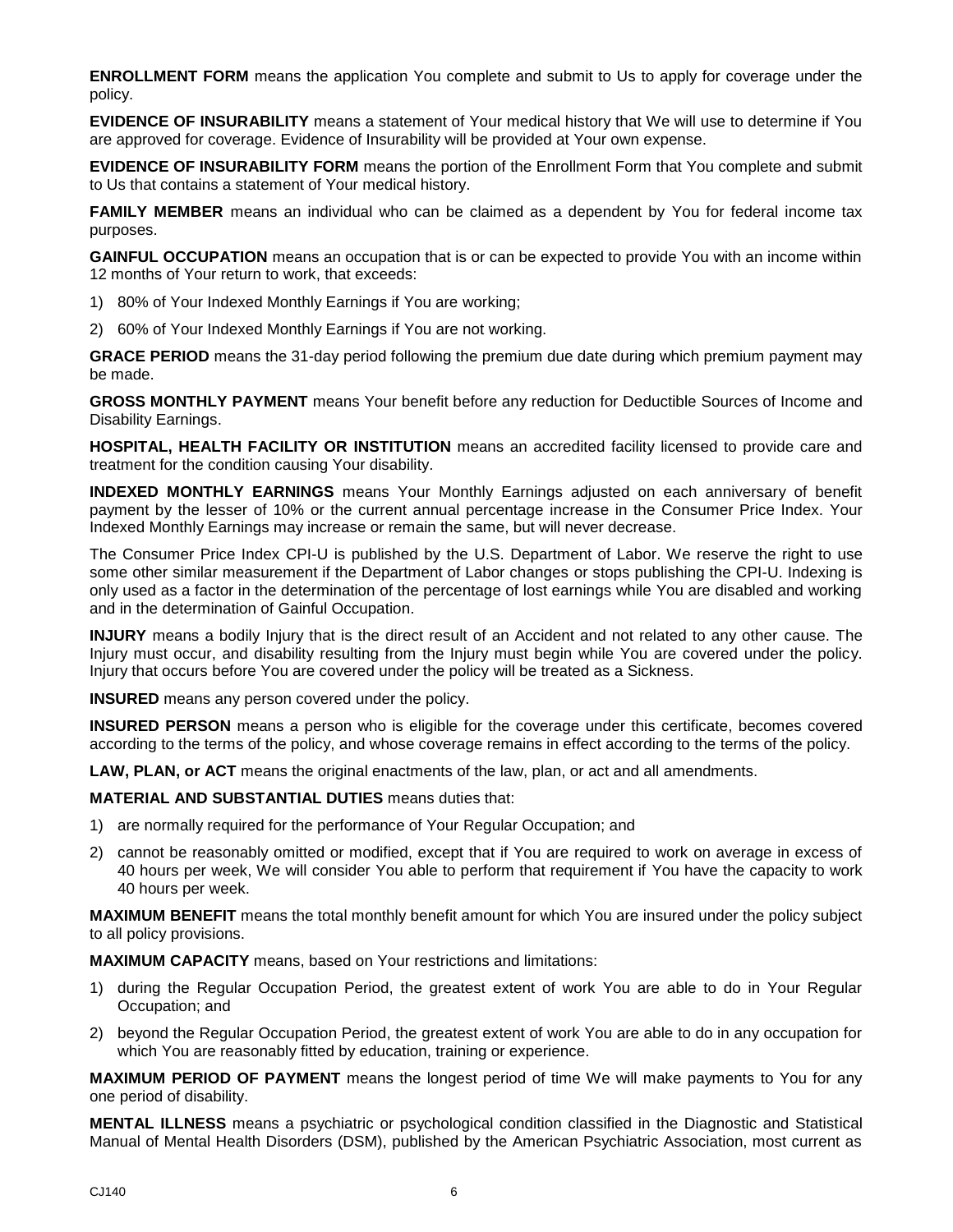**ENROLLMENT FORM** means the application You complete and submit to Us to apply for coverage under the policy.

**EVIDENCE OF INSURABILITY** means a statement of Your medical history that We will use to determine if You are approved for coverage. Evidence of Insurability will be provided at Your own expense.

**EVIDENCE OF INSURABILITY FORM** means the portion of the Enrollment Form that You complete and submit to Us that contains a statement of Your medical history.

**FAMILY MEMBER** means an individual who can be claimed as a dependent by You for federal income tax purposes.

**GAINFUL OCCUPATION** means an occupation that is or can be expected to provide You with an income within 12 months of Your return to work, that exceeds:

- 1) 80% of Your Indexed Monthly Earnings if You are working;
- 2) 60% of Your Indexed Monthly Earnings if You are not working.

**GRACE PERIOD** means the 31-day period following the premium due date during which premium payment may be made.

**GROSS MONTHLY PAYMENT** means Your benefit before any reduction for Deductible Sources of Income and Disability Earnings.

**HOSPITAL, HEALTH FACILITY OR INSTITUTION** means an accredited facility licensed to provide care and treatment for the condition causing Your disability.

**INDEXED MONTHLY EARNINGS** means Your Monthly Earnings adjusted on each anniversary of benefit payment by the lesser of 10% or the current annual percentage increase in the Consumer Price Index. Your Indexed Monthly Earnings may increase or remain the same, but will never decrease.

The Consumer Price Index CPI-U is published by the U.S. Department of Labor. We reserve the right to use some other similar measurement if the Department of Labor changes or stops publishing the CPI-U. Indexing is only used as a factor in the determination of the percentage of lost earnings while You are disabled and working and in the determination of Gainful Occupation.

**INJURY** means a bodily Injury that is the direct result of an Accident and not related to any other cause. The Injury must occur, and disability resulting from the Injury must begin while You are covered under the policy. Injury that occurs before You are covered under the policy will be treated as a Sickness.

**INSURED** means any person covered under the policy.

**INSURED PERSON** means a person who is eligible for the coverage under this certificate, becomes covered according to the terms of the policy, and whose coverage remains in effect according to the terms of the policy.

**LAW, PLAN, or ACT** means the original enactments of the law, plan, or act and all amendments.

**MATERIAL AND SUBSTANTIAL DUTIES** means duties that:

- 1) are normally required for the performance of Your Regular Occupation; and
- 2) cannot be reasonably omitted or modified, except that if You are required to work on average in excess of 40 hours per week, We will consider You able to perform that requirement if You have the capacity to work 40 hours per week.

**MAXIMUM BENEFIT** means the total monthly benefit amount for which You are insured under the policy subject to all policy provisions.

**MAXIMUM CAPACITY** means, based on Your restrictions and limitations:

- 1) during the Regular Occupation Period, the greatest extent of work You are able to do in Your Regular Occupation; and
- 2) beyond the Regular Occupation Period, the greatest extent of work You are able to do in any occupation for which You are reasonably fitted by education, training or experience.

**MAXIMUM PERIOD OF PAYMENT** means the longest period of time We will make payments to You for any one period of disability.

**MENTAL ILLNESS** means a psychiatric or psychological condition classified in the Diagnostic and Statistical Manual of Mental Health Disorders (DSM), published by the American Psychiatric Association, most current as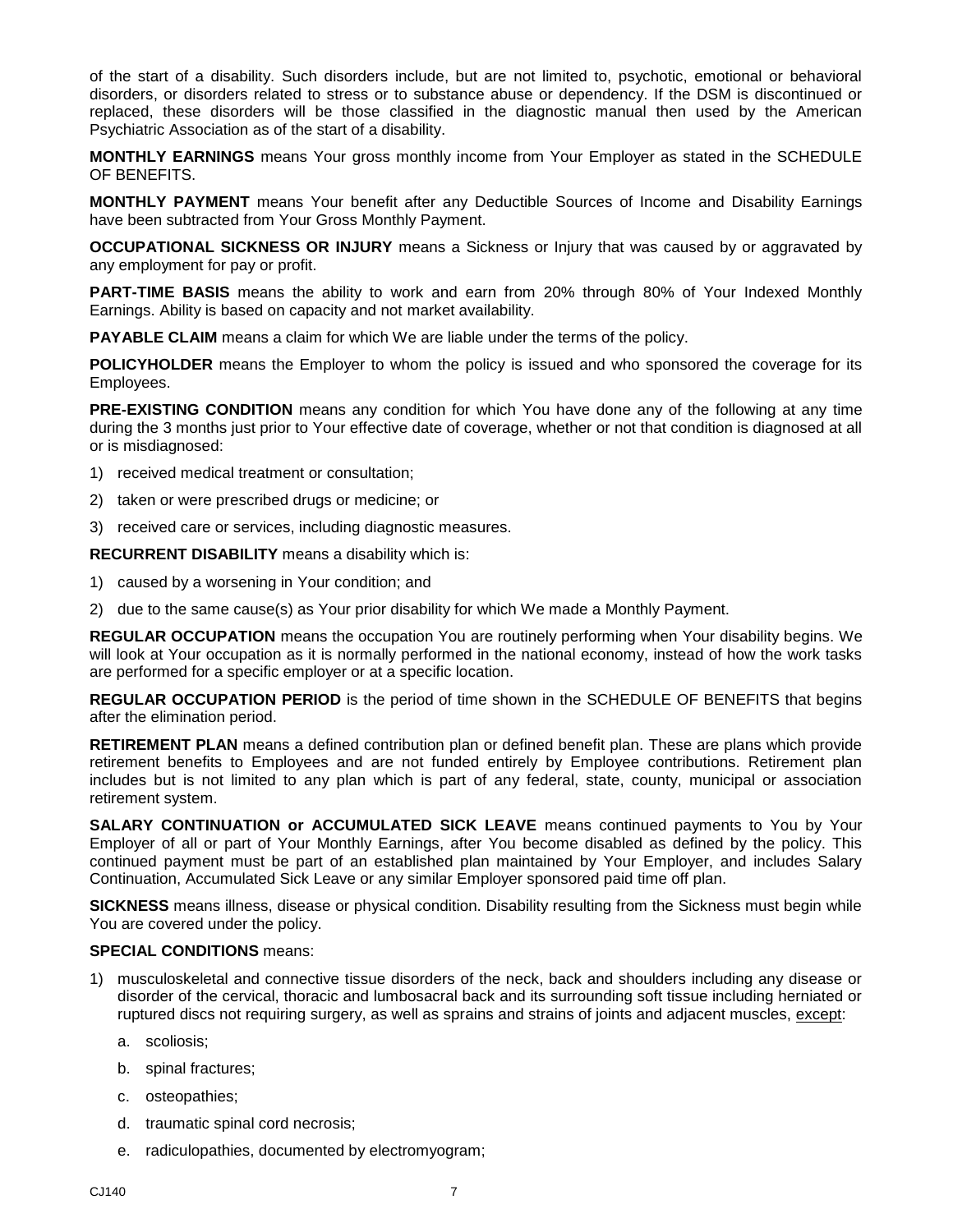of the start of a disability. Such disorders include, but are not limited to, psychotic, emotional or behavioral disorders, or disorders related to stress or to substance abuse or dependency. If the DSM is discontinued or replaced, these disorders will be those classified in the diagnostic manual then used by the American Psychiatric Association as of the start of a disability.

**MONTHLY EARNINGS** means Your gross monthly income from Your Employer as stated in the SCHEDULE OF BENEFITS.

**MONTHLY PAYMENT** means Your benefit after any Deductible Sources of Income and Disability Earnings have been subtracted from Your Gross Monthly Payment.

**OCCUPATIONAL SICKNESS OR INJURY** means a Sickness or Injury that was caused by or aggravated by any employment for pay or profit.

**PART-TIME BASIS** means the ability to work and earn from 20% through 80% of Your Indexed Monthly Earnings. Ability is based on capacity and not market availability.

**PAYABLE CLAIM** means a claim for which We are liable under the terms of the policy.

**POLICYHOLDER** means the Employer to whom the policy is issued and who sponsored the coverage for its Employees.

**PRE-EXISTING CONDITION** means any condition for which You have done any of the following at any time during the 3 months just prior to Your effective date of coverage, whether or not that condition is diagnosed at all or is misdiagnosed:

- 1) received medical treatment or consultation;
- 2) taken or were prescribed drugs or medicine; or
- 3) received care or services, including diagnostic measures.

**RECURRENT DISABILITY** means a disability which is:

- 1) caused by a worsening in Your condition; and
- 2) due to the same cause(s) as Your prior disability for which We made a Monthly Payment.

**REGULAR OCCUPATION** means the occupation You are routinely performing when Your disability begins. We will look at Your occupation as it is normally performed in the national economy, instead of how the work tasks are performed for a specific employer or at a specific location.

**REGULAR OCCUPATION PERIOD** is the period of time shown in the SCHEDULE OF BENEFITS that begins after the elimination period.

**RETIREMENT PLAN** means a defined contribution plan or defined benefit plan. These are plans which provide retirement benefits to Employees and are not funded entirely by Employee contributions. Retirement plan includes but is not limited to any plan which is part of any federal, state, county, municipal or association retirement system.

**SALARY CONTINUATION or ACCUMULATED SICK LEAVE** means continued payments to You by Your Employer of all or part of Your Monthly Earnings, after You become disabled as defined by the policy. This continued payment must be part of an established plan maintained by Your Employer, and includes Salary Continuation, Accumulated Sick Leave or any similar Employer sponsored paid time off plan.

**SICKNESS** means illness, disease or physical condition. Disability resulting from the Sickness must begin while You are covered under the policy.

#### **SPECIAL CONDITIONS** means:

- 1) musculoskeletal and connective tissue disorders of the neck, back and shoulders including any disease or disorder of the cervical, thoracic and lumbosacral back and its surrounding soft tissue including herniated or ruptured discs not requiring surgery, as well as sprains and strains of joints and adjacent muscles, except:
	- a. scoliosis;
	- b. spinal fractures;
	- c. osteopathies;
	- d. traumatic spinal cord necrosis;
	- e. radiculopathies, documented by electromyogram;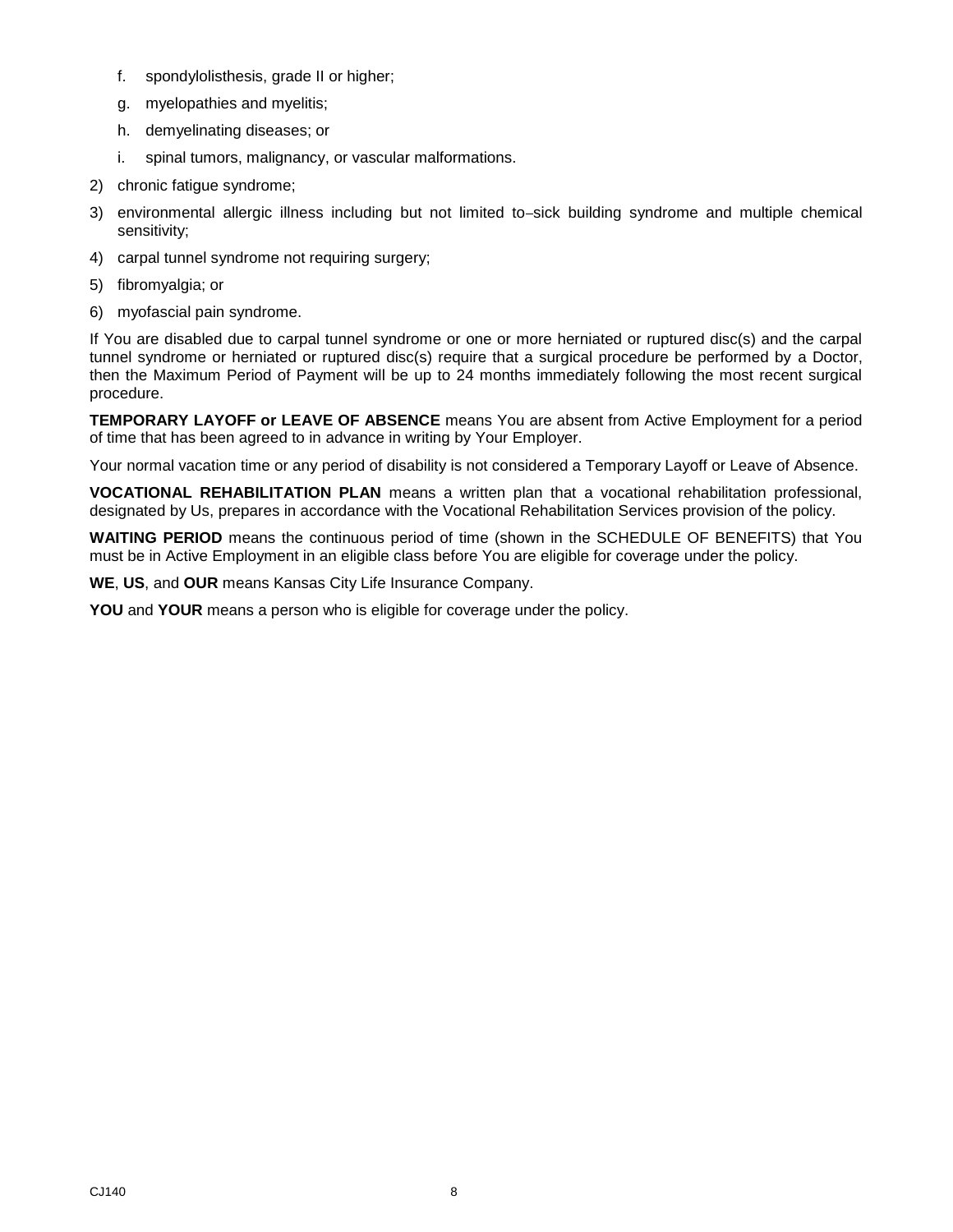- f. spondylolisthesis, grade II or higher;
- g. myelopathies and myelitis;
- h. demyelinating diseases; or
- i. spinal tumors, malignancy, or vascular malformations.
- 2) chronic fatigue syndrome;
- 3) environmental allergic illness including but not limited to-sick building syndrome and multiple chemical sensitivity;
- 4) carpal tunnel syndrome not requiring surgery;
- 5) fibromyalgia; or
- 6) myofascial pain syndrome.

If You are disabled due to carpal tunnel syndrome or one or more herniated or ruptured disc(s) and the carpal tunnel syndrome or herniated or ruptured disc(s) require that a surgical procedure be performed by a Doctor, then the Maximum Period of Payment will be up to 24 months immediately following the most recent surgical procedure.

**TEMPORARY LAYOFF or LEAVE OF ABSENCE** means You are absent from Active Employment for a period of time that has been agreed to in advance in writing by Your Employer.

Your normal vacation time or any period of disability is not considered a Temporary Layoff or Leave of Absence.

**VOCATIONAL REHABILITATION PLAN** means a written plan that a vocational rehabilitation professional, designated by Us, prepares in accordance with the Vocational Rehabilitation Services provision of the policy.

**WAITING PERIOD** means the continuous period of time (shown in the SCHEDULE OF BENEFITS) that You must be in Active Employment in an eligible class before You are eligible for coverage under the policy.

**WE**, **US**, and **OUR** means Kansas City Life Insurance Company.

**YOU** and **YOUR** means a person who is eligible for coverage under the policy.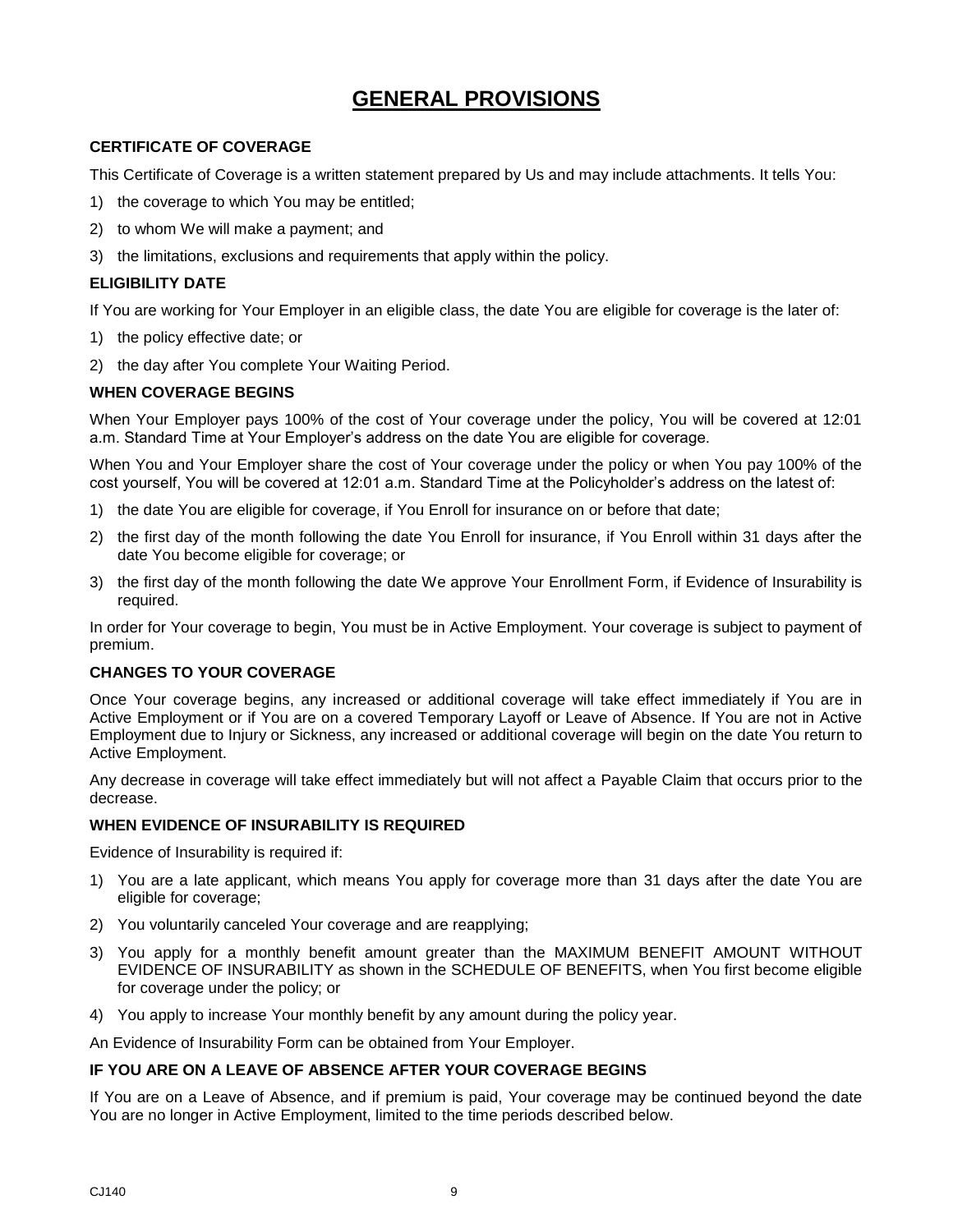# **GENERAL PROVISIONS**

#### <span id="page-10-0"></span>**CERTIFICATE OF COVERAGE**

This Certificate of Coverage is a written statement prepared by Us and may include attachments. It tells You:

- 1) the coverage to which You may be entitled;
- 2) to whom We will make a payment; and
- 3) the limitations, exclusions and requirements that apply within the policy.

#### **ELIGIBILITY DATE**

If You are working for Your Employer in an eligible class, the date You are eligible for coverage is the later of:

- 1) the policy effective date; or
- 2) the day after You complete Your Waiting Period.

#### **WHEN COVERAGE BEGINS**

When Your Employer pays 100% of the cost of Your coverage under the policy, You will be covered at 12:01 a.m. Standard Time at Your Employer's address on the date You are eligible for coverage.

When You and Your Employer share the cost of Your coverage under the policy or when You pay 100% of the cost yourself, You will be covered at 12:01 a.m. Standard Time at the Policyholder's address on the latest of:

- 1) the date You are eligible for coverage, if You Enroll for insurance on or before that date;
- 2) the first day of the month following the date You Enroll for insurance, if You Enroll within 31 days after the date You become eligible for coverage; or
- 3) the first day of the month following the date We approve Your Enrollment Form, if Evidence of Insurability is required.

In order for Your coverage to begin, You must be in Active Employment. Your coverage is subject to payment of premium.

#### **CHANGES TO YOUR COVERAGE**

Once Your coverage begins, any increased or additional coverage will take effect immediately if You are in Active Employment or if You are on a covered Temporary Layoff or Leave of Absence. If You are not in Active Employment due to Injury or Sickness, any increased or additional coverage will begin on the date You return to Active Employment.

Any decrease in coverage will take effect immediately but will not affect a Payable Claim that occurs prior to the decrease.

#### **WHEN EVIDENCE OF INSURABILITY IS REQUIRED**

Evidence of Insurability is required if:

- 1) You are a late applicant, which means You apply for coverage more than 31 days after the date You are eligible for coverage;
- 2) You voluntarily canceled Your coverage and are reapplying;
- 3) You apply for a monthly benefit amount greater than the MAXIMUM BENEFIT AMOUNT WITHOUT EVIDENCE OF INSURABILITY as shown in the SCHEDULE OF BENEFITS, when You first become eligible for coverage under the policy; or
- 4) You apply to increase Your monthly benefit by any amount during the policy year.

An Evidence of Insurability Form can be obtained from Your Employer.

#### **IF YOU ARE ON A LEAVE OF ABSENCE AFTER YOUR COVERAGE BEGINS**

If You are on a Leave of Absence, and if premium is paid, Your coverage may be continued beyond the date You are no longer in Active Employment, limited to the time periods described below.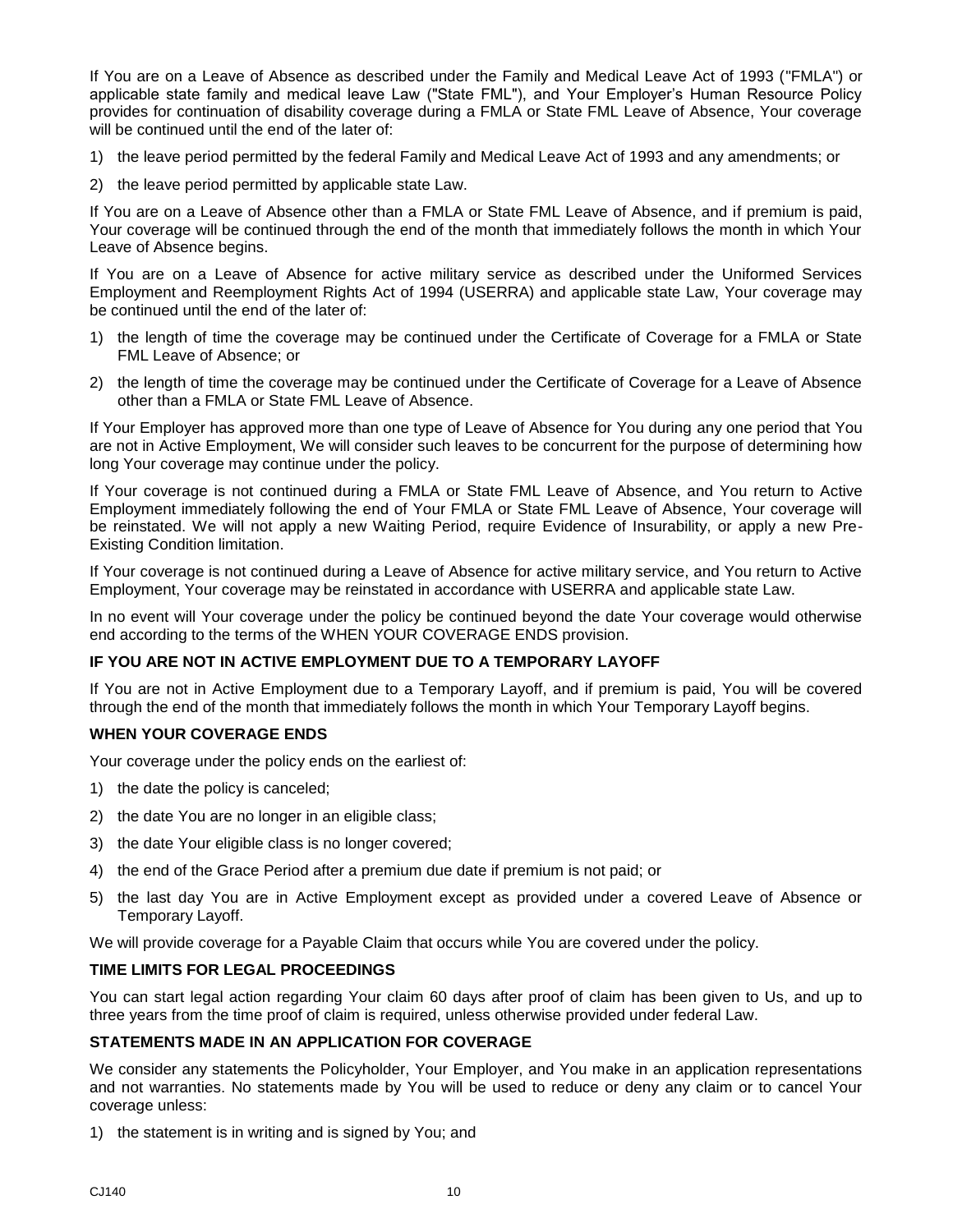If You are on a Leave of Absence as described under the Family and Medical Leave Act of 1993 ("FMLA") or applicable state family and medical leave Law ("State FML"), and Your Employer's Human Resource Policy provides for continuation of disability coverage during a FMLA or State FML Leave of Absence, Your coverage will be continued until the end of the later of:

- 1) the leave period permitted by the federal Family and Medical Leave Act of 1993 and any amendments; or
- 2) the leave period permitted by applicable state Law.

If You are on a Leave of Absence other than a FMLA or State FML Leave of Absence, and if premium is paid, Your coverage will be continued through the end of the month that immediately follows the month in which Your Leave of Absence begins.

If You are on a Leave of Absence for active military service as described under the Uniformed Services Employment and Reemployment Rights Act of 1994 (USERRA) and applicable state Law, Your coverage may be continued until the end of the later of:

- 1) the length of time the coverage may be continued under the Certificate of Coverage for a FMLA or State FML Leave of Absence; or
- 2) the length of time the coverage may be continued under the Certificate of Coverage for a Leave of Absence other than a FMLA or State FML Leave of Absence.

If Your Employer has approved more than one type of Leave of Absence for You during any one period that You are not in Active Employment, We will consider such leaves to be concurrent for the purpose of determining how long Your coverage may continue under the policy.

If Your coverage is not continued during a FMLA or State FML Leave of Absence, and You return to Active Employment immediately following the end of Your FMLA or State FML Leave of Absence, Your coverage will be reinstated. We will not apply a new Waiting Period, require Evidence of Insurability, or apply a new Pre-Existing Condition limitation.

If Your coverage is not continued during a Leave of Absence for active military service, and You return to Active Employment, Your coverage may be reinstated in accordance with USERRA and applicable state Law.

In no event will Your coverage under the policy be continued beyond the date Your coverage would otherwise end according to the terms of the WHEN YOUR COVERAGE ENDS provision.

#### **IF YOU ARE NOT IN ACTIVE EMPLOYMENT DUE TO A TEMPORARY LAYOFF**

If You are not in Active Employment due to a Temporary Layoff, and if premium is paid, You will be covered through the end of the month that immediately follows the month in which Your Temporary Layoff begins.

#### **WHEN YOUR COVERAGE ENDS**

Your coverage under the policy ends on the earliest of:

- 1) the date the policy is canceled;
- 2) the date You are no longer in an eligible class;
- 3) the date Your eligible class is no longer covered;
- 4) the end of the Grace Period after a premium due date if premium is not paid; or
- 5) the last day You are in Active Employment except as provided under a covered Leave of Absence or Temporary Layoff.

We will provide coverage for a Payable Claim that occurs while You are covered under the policy.

#### **TIME LIMITS FOR LEGAL PROCEEDINGS**

You can start legal action regarding Your claim 60 days after proof of claim has been given to Us, and up to three years from the time proof of claim is required, unless otherwise provided under federal Law.

#### **STATEMENTS MADE IN AN APPLICATION FOR COVERAGE**

We consider any statements the Policyholder, Your Employer, and You make in an application representations and not warranties. No statements made by You will be used to reduce or deny any claim or to cancel Your coverage unless:

1) the statement is in writing and is signed by You; and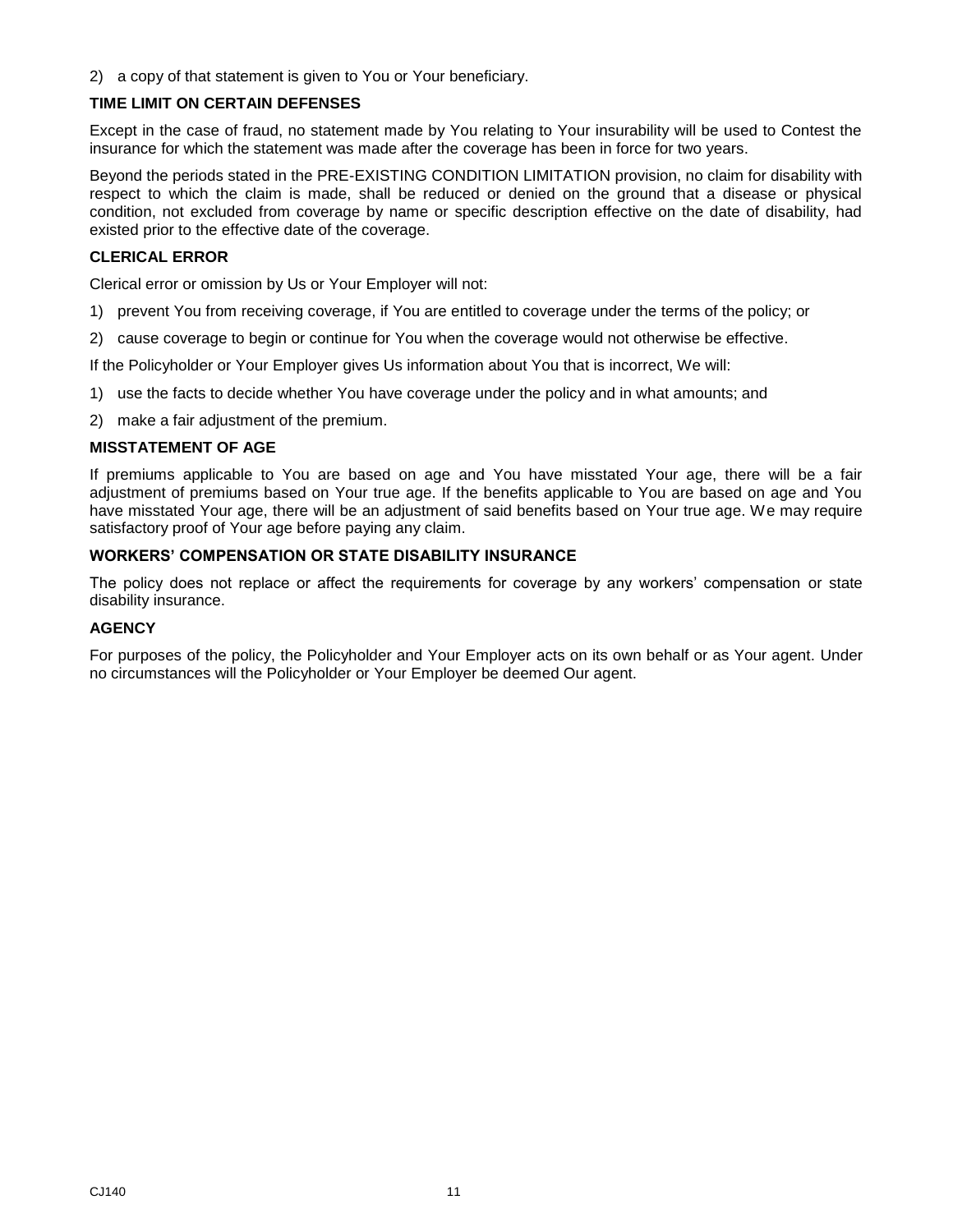2) a copy of that statement is given to You or Your beneficiary.

#### **TIME LIMIT ON CERTAIN DEFENSES**

Except in the case of fraud, no statement made by You relating to Your insurability will be used to Contest the insurance for which the statement was made after the coverage has been in force for two years.

Beyond the periods stated in the PRE-EXISTING CONDITION LIMITATION provision, no claim for disability with respect to which the claim is made, shall be reduced or denied on the ground that a disease or physical condition, not excluded from coverage by name or specific description effective on the date of disability, had existed prior to the effective date of the coverage.

#### **CLERICAL ERROR**

Clerical error or omission by Us or Your Employer will not:

- 1) prevent You from receiving coverage, if You are entitled to coverage under the terms of the policy; or
- 2) cause coverage to begin or continue for You when the coverage would not otherwise be effective.

If the Policyholder or Your Employer gives Us information about You that is incorrect, We will:

- 1) use the facts to decide whether You have coverage under the policy and in what amounts; and
- 2) make a fair adjustment of the premium.

#### **MISSTATEMENT OF AGE**

If premiums applicable to You are based on age and You have misstated Your age, there will be a fair adjustment of premiums based on Your true age. If the benefits applicable to You are based on age and You have misstated Your age, there will be an adjustment of said benefits based on Your true age. We may require satisfactory proof of Your age before paying any claim.

#### **WORKERS' COMPENSATION OR STATE DISABILITY INSURANCE**

The policy does not replace or affect the requirements for coverage by any workers' compensation or state disability insurance.

#### **AGENCY**

For purposes of the policy, the Policyholder and Your Employer acts on its own behalf or as Your agent. Under no circumstances will the Policyholder or Your Employer be deemed Our agent.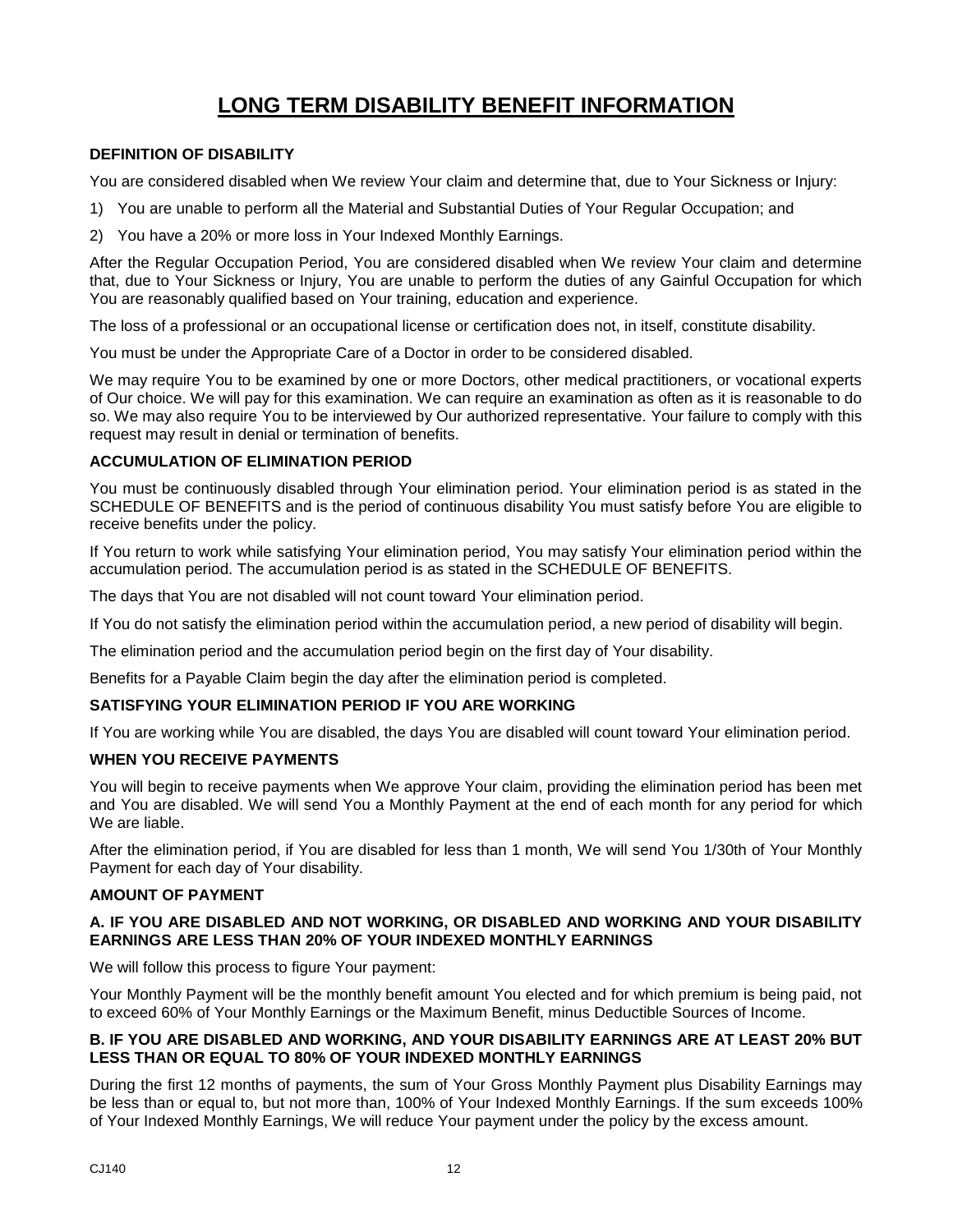# **LONG TERM DISABILITY BENEFIT INFORMATION**

#### <span id="page-13-0"></span>**DEFINITION OF DISABILITY**

You are considered disabled when We review Your claim and determine that, due to Your Sickness or Injury:

- 1) You are unable to perform all the Material and Substantial Duties of Your Regular Occupation; and
- 2) You have a 20% or more loss in Your Indexed Monthly Earnings.

After the Regular Occupation Period, You are considered disabled when We review Your claim and determine that, due to Your Sickness or Injury, You are unable to perform the duties of any Gainful Occupation for which You are reasonably qualified based on Your training, education and experience.

The loss of a professional or an occupational license or certification does not, in itself, constitute disability.

You must be under the Appropriate Care of a Doctor in order to be considered disabled.

We may require You to be examined by one or more Doctors, other medical practitioners, or vocational experts of Our choice. We will pay for this examination. We can require an examination as often as it is reasonable to do so. We may also require You to be interviewed by Our authorized representative. Your failure to comply with this request may result in denial or termination of benefits.

#### **ACCUMULATION OF ELIMINATION PERIOD**

You must be continuously disabled through Your elimination period. Your elimination period is as stated in the SCHEDULE OF BENEFITS and is the period of continuous disability You must satisfy before You are eligible to receive benefits under the policy.

If You return to work while satisfying Your elimination period, You may satisfy Your elimination period within the accumulation period. The accumulation period is as stated in the SCHEDULE OF BENEFITS.

The days that You are not disabled will not count toward Your elimination period.

If You do not satisfy the elimination period within the accumulation period, a new period of disability will begin.

The elimination period and the accumulation period begin on the first day of Your disability.

Benefits for a Payable Claim begin the day after the elimination period is completed.

#### **SATISFYING YOUR ELIMINATION PERIOD IF YOU ARE WORKING**

If You are working while You are disabled, the days You are disabled will count toward Your elimination period.

#### **WHEN YOU RECEIVE PAYMENTS**

You will begin to receive payments when We approve Your claim, providing the elimination period has been met and You are disabled. We will send You a Monthly Payment at the end of each month for any period for which We are liable.

After the elimination period, if You are disabled for less than 1 month, We will send You 1/30th of Your Monthly Payment for each day of Your disability.

#### **AMOUNT OF PAYMENT**

#### **A. IF YOU ARE DISABLED AND NOT WORKING, OR DISABLED AND WORKING AND YOUR DISABILITY EARNINGS ARE LESS THAN 20% OF YOUR INDEXED MONTHLY EARNINGS**

We will follow this process to figure Your payment:

Your Monthly Payment will be the monthly benefit amount You elected and for which premium is being paid, not to exceed 60% of Your Monthly Earnings or the Maximum Benefit, minus Deductible Sources of Income.

#### **B. IF YOU ARE DISABLED AND WORKING, AND YOUR DISABILITY EARNINGS ARE AT LEAST 20% BUT LESS THAN OR EQUAL TO 80% OF YOUR INDEXED MONTHLY EARNINGS**

During the first 12 months of payments, the sum of Your Gross Monthly Payment plus Disability Earnings may be less than or equal to, but not more than, 100% of Your Indexed Monthly Earnings. If the sum exceeds 100% of Your Indexed Monthly Earnings, We will reduce Your payment under the policy by the excess amount.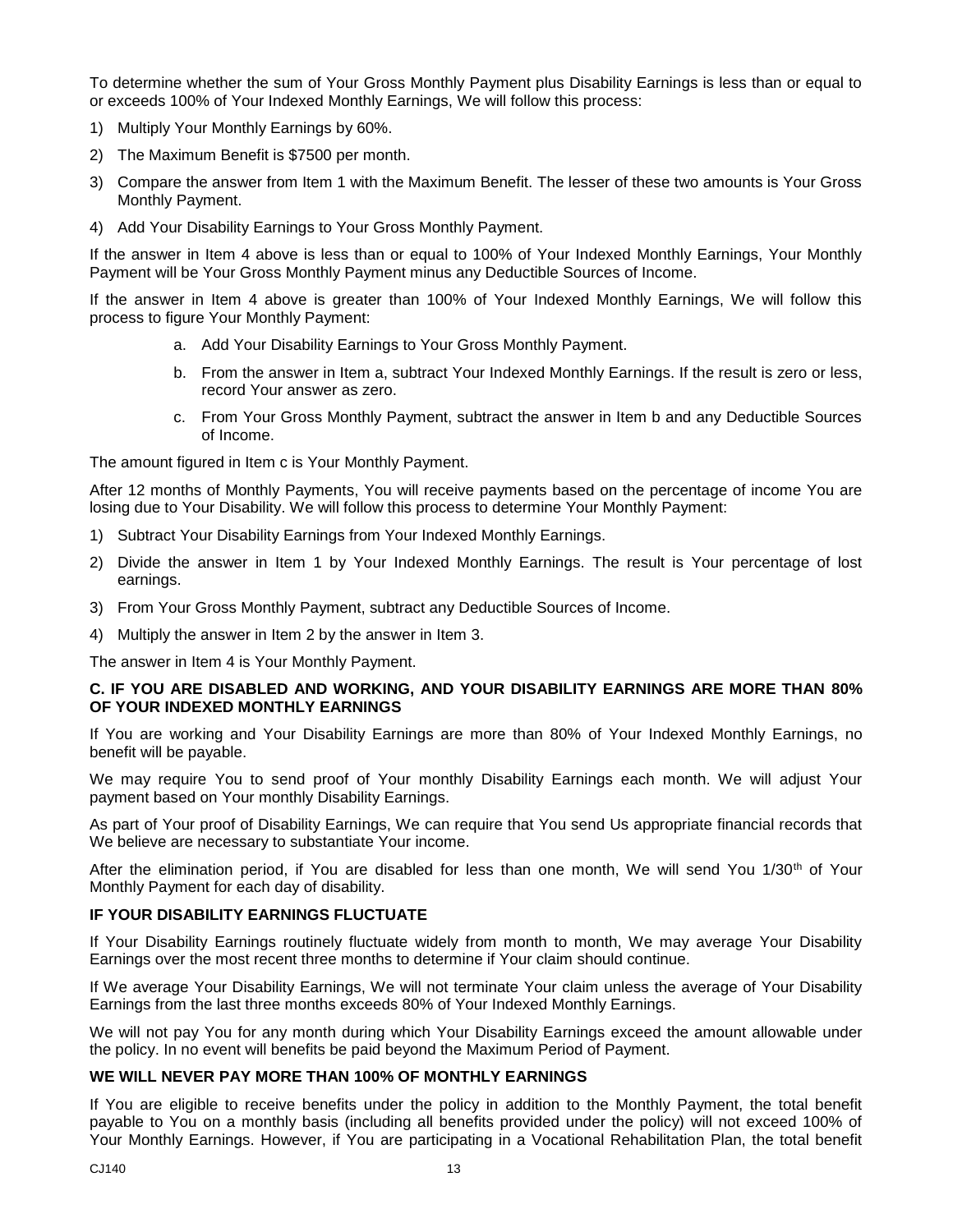To determine whether the sum of Your Gross Monthly Payment plus Disability Earnings is less than or equal to or exceeds 100% of Your Indexed Monthly Earnings, We will follow this process:

- 1) Multiply Your Monthly Earnings by 60%.
- 2) The Maximum Benefit is \$7500 per month.
- 3) Compare the answer from Item 1 with the Maximum Benefit. The lesser of these two amounts is Your Gross Monthly Payment.
- 4) Add Your Disability Earnings to Your Gross Monthly Payment.

If the answer in Item 4 above is less than or equal to 100% of Your Indexed Monthly Earnings, Your Monthly Payment will be Your Gross Monthly Payment minus any Deductible Sources of Income.

If the answer in Item 4 above is greater than 100% of Your Indexed Monthly Earnings, We will follow this process to figure Your Monthly Payment:

- a. Add Your Disability Earnings to Your Gross Monthly Payment.
- b. From the answer in Item a, subtract Your Indexed Monthly Earnings. If the result is zero or less, record Your answer as zero.
- c. From Your Gross Monthly Payment, subtract the answer in Item b and any Deductible Sources of Income.

The amount figured in Item c is Your Monthly Payment.

After 12 months of Monthly Payments, You will receive payments based on the percentage of income You are losing due to Your Disability. We will follow this process to determine Your Monthly Payment:

- 1) Subtract Your Disability Earnings from Your Indexed Monthly Earnings.
- 2) Divide the answer in Item 1 by Your Indexed Monthly Earnings. The result is Your percentage of lost earnings.
- 3) From Your Gross Monthly Payment, subtract any Deductible Sources of Income.
- 4) Multiply the answer in Item 2 by the answer in Item 3.

The answer in Item 4 is Your Monthly Payment.

#### **C. IF YOU ARE DISABLED AND WORKING, AND YOUR DISABILITY EARNINGS ARE MORE THAN 80% OF YOUR INDEXED MONTHLY EARNINGS**

If You are working and Your Disability Earnings are more than 80% of Your Indexed Monthly Earnings, no benefit will be payable.

We may require You to send proof of Your monthly Disability Earnings each month. We will adjust Your payment based on Your monthly Disability Earnings.

As part of Your proof of Disability Earnings, We can require that You send Us appropriate financial records that We believe are necessary to substantiate Your income.

After the elimination period, if You are disabled for less than one month, We will send You 1/30<sup>th</sup> of Your Monthly Payment for each day of disability.

#### **IF YOUR DISABILITY EARNINGS FLUCTUATE**

If Your Disability Earnings routinely fluctuate widely from month to month, We may average Your Disability Earnings over the most recent three months to determine if Your claim should continue.

If We average Your Disability Earnings, We will not terminate Your claim unless the average of Your Disability Earnings from the last three months exceeds 80% of Your Indexed Monthly Earnings.

We will not pay You for any month during which Your Disability Earnings exceed the amount allowable under the policy. In no event will benefits be paid beyond the Maximum Period of Payment.

#### **WE WILL NEVER PAY MORE THAN 100% OF MONTHLY EARNINGS**

If You are eligible to receive benefits under the policy in addition to the Monthly Payment, the total benefit payable to You on a monthly basis (including all benefits provided under the policy) will not exceed 100% of Your Monthly Earnings. However, if You are participating in a Vocational Rehabilitation Plan, the total benefit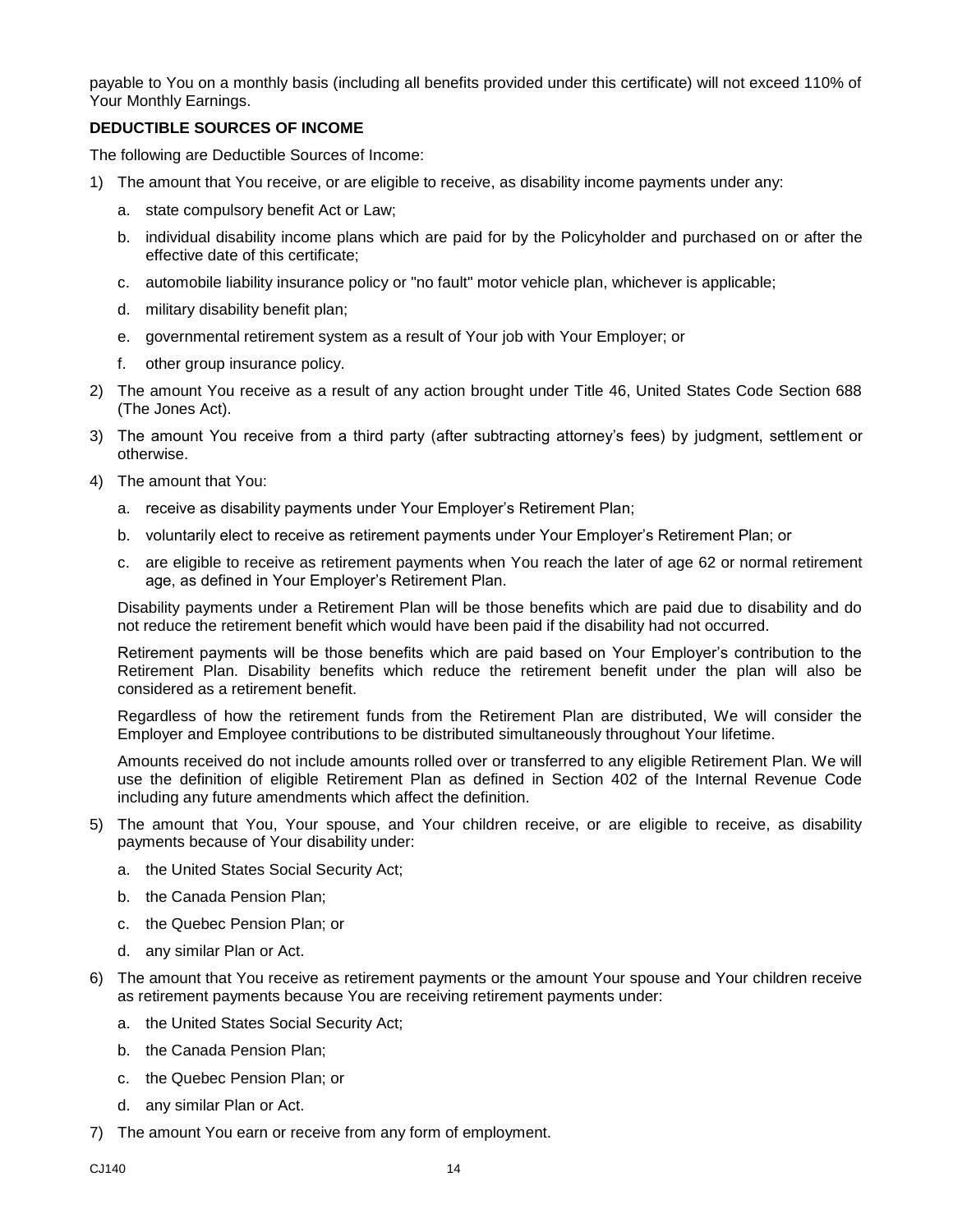payable to You on a monthly basis (including all benefits provided under this certificate) will not exceed 110% of Your Monthly Earnings.

#### **DEDUCTIBLE SOURCES OF INCOME**

The following are Deductible Sources of Income:

- 1) The amount that You receive, or are eligible to receive, as disability income payments under any:
	- a. state compulsory benefit Act or Law;
	- b. individual disability income plans which are paid for by the Policyholder and purchased on or after the effective date of this certificate;
	- c. automobile liability insurance policy or "no fault" motor vehicle plan, whichever is applicable;
	- d. military disability benefit plan;
	- e. governmental retirement system as a result of Your job with Your Employer; or
	- f. other group insurance policy.
- 2) The amount You receive as a result of any action brought under Title 46, United States Code Section 688 (The Jones Act).
- 3) The amount You receive from a third party (after subtracting attorney's fees) by judgment, settlement or otherwise.
- 4) The amount that You:
	- a. receive as disability payments under Your Employer's Retirement Plan;
	- b. voluntarily elect to receive as retirement payments under Your Employer's Retirement Plan; or
	- c. are eligible to receive as retirement payments when You reach the later of age 62 or normal retirement age, as defined in Your Employer's Retirement Plan.

Disability payments under a Retirement Plan will be those benefits which are paid due to disability and do not reduce the retirement benefit which would have been paid if the disability had not occurred.

Retirement payments will be those benefits which are paid based on Your Employer's contribution to the Retirement Plan. Disability benefits which reduce the retirement benefit under the plan will also be considered as a retirement benefit.

Regardless of how the retirement funds from the Retirement Plan are distributed, We will consider the Employer and Employee contributions to be distributed simultaneously throughout Your lifetime.

Amounts received do not include amounts rolled over or transferred to any eligible Retirement Plan. We will use the definition of eligible Retirement Plan as defined in Section 402 of the Internal Revenue Code including any future amendments which affect the definition.

- 5) The amount that You, Your spouse, and Your children receive, or are eligible to receive, as disability payments because of Your disability under:
	- a. the United States Social Security Act;
	- b. the Canada Pension Plan;
	- c. the Quebec Pension Plan; or
	- d. any similar Plan or Act.
- 6) The amount that You receive as retirement payments or the amount Your spouse and Your children receive as retirement payments because You are receiving retirement payments under:
	- a. the United States Social Security Act;
	- b. the Canada Pension Plan;
	- c. the Quebec Pension Plan; or
	- d. any similar Plan or Act.
- 7) The amount You earn or receive from any form of employment.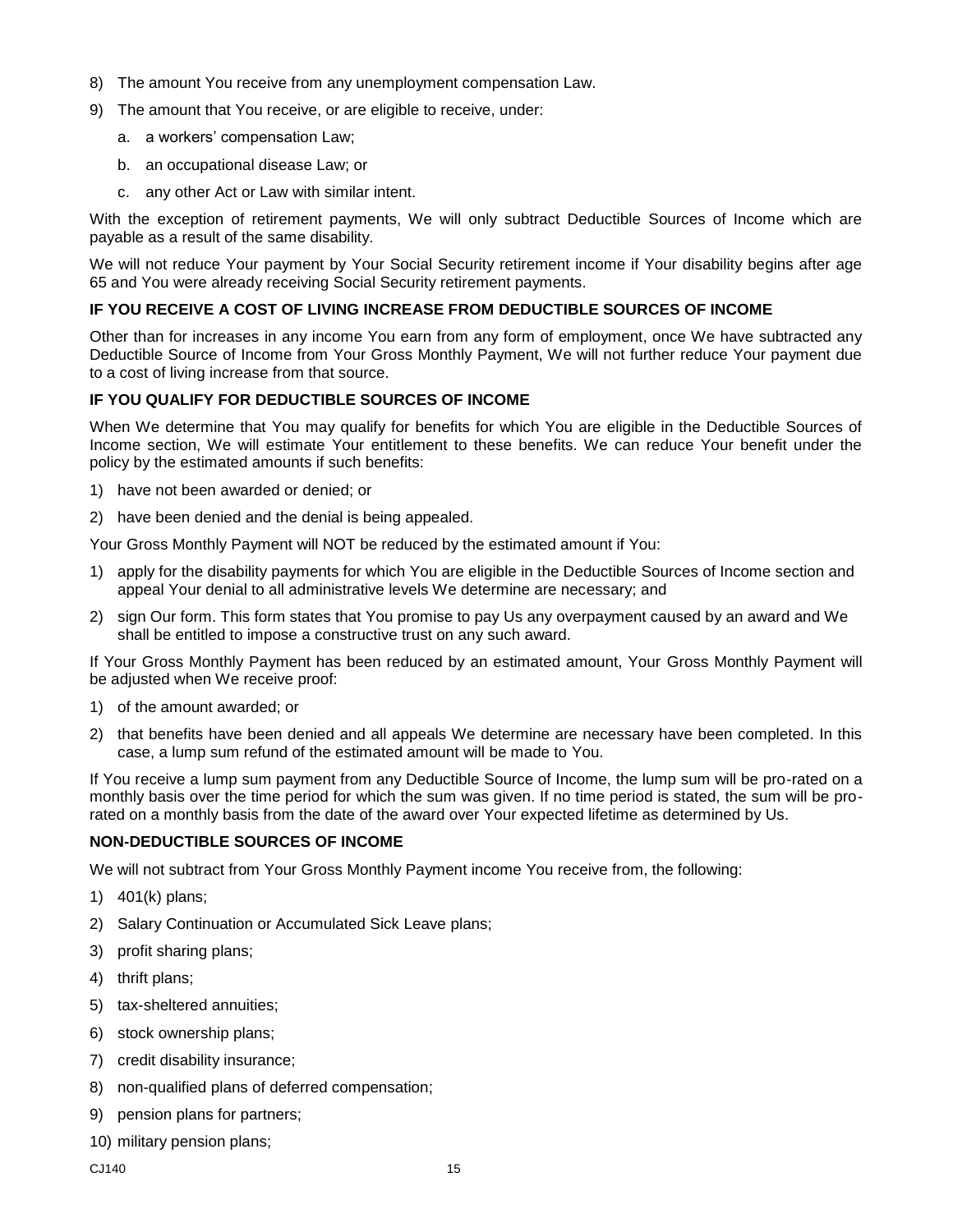- 8) The amount You receive from any unemployment compensation Law.
- 9) The amount that You receive, or are eligible to receive, under:
	- a. a workers' compensation Law;
	- b. an occupational disease Law; or
	- c. any other Act or Law with similar intent.

With the exception of retirement payments, We will only subtract Deductible Sources of Income which are payable as a result of the same disability.

We will not reduce Your payment by Your Social Security retirement income if Your disability begins after age 65 and You were already receiving Social Security retirement payments.

#### **IF YOU RECEIVE A COST OF LIVING INCREASE FROM DEDUCTIBLE SOURCES OF INCOME**

Other than for increases in any income You earn from any form of employment, once We have subtracted any Deductible Source of Income from Your Gross Monthly Payment, We will not further reduce Your payment due to a cost of living increase from that source.

#### **IF YOU QUALIFY FOR DEDUCTIBLE SOURCES OF INCOME**

When We determine that You may qualify for benefits for which You are eligible in the Deductible Sources of Income section, We will estimate Your entitlement to these benefits. We can reduce Your benefit under the policy by the estimated amounts if such benefits:

- 1) have not been awarded or denied; or
- 2) have been denied and the denial is being appealed.

Your Gross Monthly Payment will NOT be reduced by the estimated amount if You:

- 1) apply for the disability payments for which You are eligible in the Deductible Sources of Income section and appeal Your denial to all administrative levels We determine are necessary; and
- 2) sign Our form. This form states that You promise to pay Us any overpayment caused by an award and We shall be entitled to impose a constructive trust on any such award.

If Your Gross Monthly Payment has been reduced by an estimated amount, Your Gross Monthly Payment will be adjusted when We receive proof:

- 1) of the amount awarded; or
- 2) that benefits have been denied and all appeals We determine are necessary have been completed. In this case, a lump sum refund of the estimated amount will be made to You.

If You receive a lump sum payment from any Deductible Source of Income, the lump sum will be pro-rated on a monthly basis over the time period for which the sum was given. If no time period is stated, the sum will be prorated on a monthly basis from the date of the award over Your expected lifetime as determined by Us.

#### **NON-DEDUCTIBLE SOURCES OF INCOME**

We will not subtract from Your Gross Monthly Payment income You receive from, the following:

- 1) 401(k) plans;
- 2) Salary Continuation or Accumulated Sick Leave plans;
- 3) profit sharing plans;
- 4) thrift plans;
- 5) tax-sheltered annuities;
- 6) stock ownership plans;
- 7) credit disability insurance;
- 8) non-qualified plans of deferred compensation;
- 9) pension plans for partners;
- 10) military pension plans;

 $CJ140$  and  $15$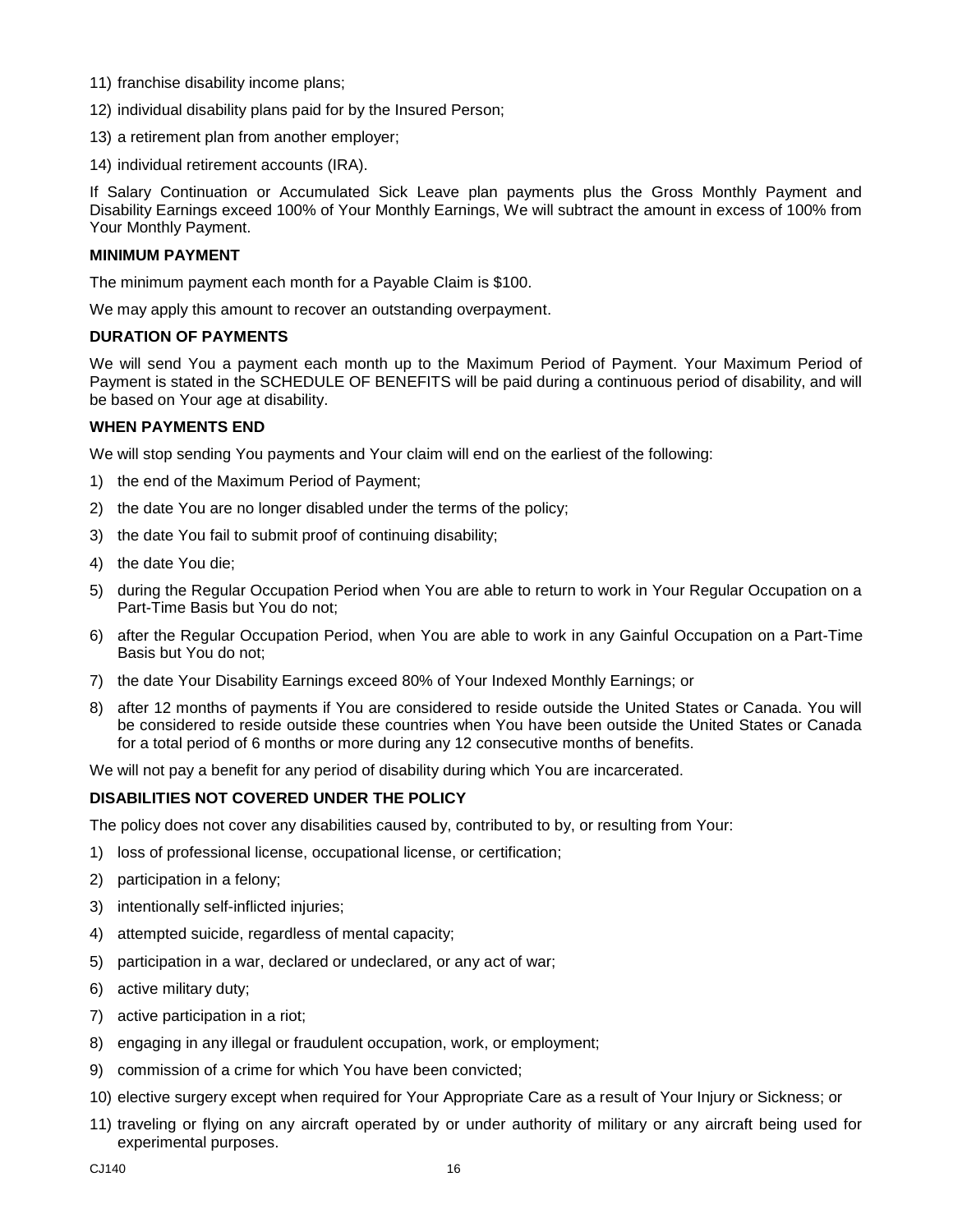- 11) franchise disability income plans;
- 12) individual disability plans paid for by the Insured Person;
- 13) a retirement plan from another employer;
- 14) individual retirement accounts (IRA).

If Salary Continuation or Accumulated Sick Leave plan payments plus the Gross Monthly Payment and Disability Earnings exceed 100% of Your Monthly Earnings, We will subtract the amount in excess of 100% from Your Monthly Payment.

#### **MINIMUM PAYMENT**

The minimum payment each month for a Payable Claim is \$100.

We may apply this amount to recover an outstanding overpayment.

#### **DURATION OF PAYMENTS**

We will send You a payment each month up to the Maximum Period of Payment. Your Maximum Period of Payment is stated in the SCHEDULE OF BENEFITS will be paid during a continuous period of disability, and will be based on Your age at disability.

#### **WHEN PAYMENTS END**

We will stop sending You payments and Your claim will end on the earliest of the following:

- 1) the end of the Maximum Period of Payment;
- 2) the date You are no longer disabled under the terms of the policy;
- 3) the date You fail to submit proof of continuing disability;
- 4) the date You die;
- 5) during the Regular Occupation Period when You are able to return to work in Your Regular Occupation on a Part-Time Basis but You do not;
- 6) after the Regular Occupation Period, when You are able to work in any Gainful Occupation on a Part-Time Basis but You do not;
- 7) the date Your Disability Earnings exceed 80% of Your Indexed Monthly Earnings; or
- 8) after 12 months of payments if You are considered to reside outside the United States or Canada. You will be considered to reside outside these countries when You have been outside the United States or Canada for a total period of 6 months or more during any 12 consecutive months of benefits.

We will not pay a benefit for any period of disability during which You are incarcerated.

#### **DISABILITIES NOT COVERED UNDER THE POLICY**

The policy does not cover any disabilities caused by, contributed to by, or resulting from Your:

- 1) loss of professional license, occupational license, or certification;
- 2) participation in a felony;
- 3) intentionally self-inflicted injuries;
- 4) attempted suicide, regardless of mental capacity;
- 5) participation in a war, declared or undeclared, or any act of war;
- 6) active military duty;
- 7) active participation in a riot;
- 8) engaging in any illegal or fraudulent occupation, work, or employment;
- 9) commission of a crime for which You have been convicted;
- 10) elective surgery except when required for Your Appropriate Care as a result of Your Injury or Sickness; or
- 11) traveling or flying on any aircraft operated by or under authority of military or any aircraft being used for experimental purposes.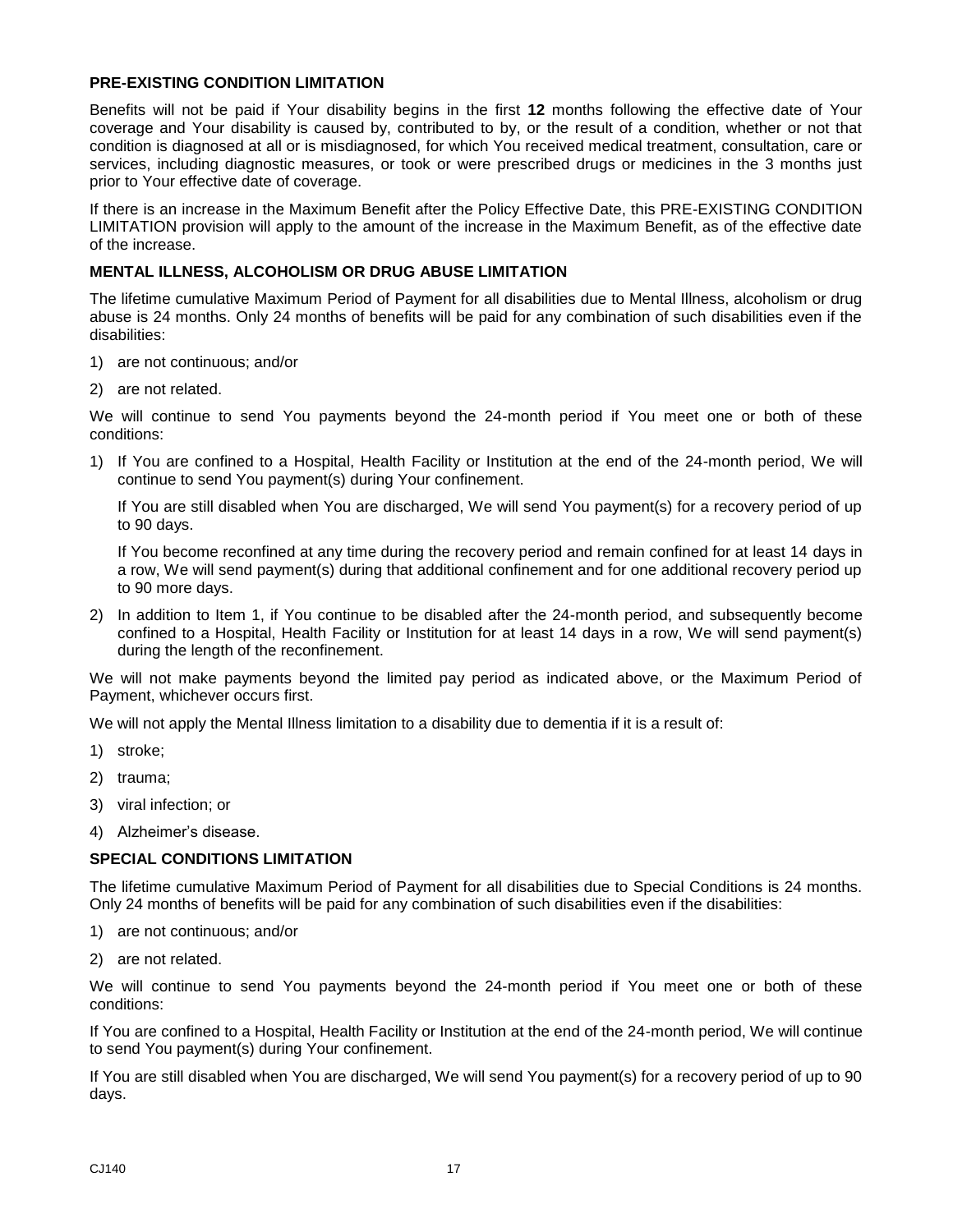#### **PRE-EXISTING CONDITION LIMITATION**

Benefits will not be paid if Your disability begins in the first **12** months following the effective date of Your coverage and Your disability is caused by, contributed to by, or the result of a condition, whether or not that condition is diagnosed at all or is misdiagnosed, for which You received medical treatment, consultation, care or services, including diagnostic measures, or took or were prescribed drugs or medicines in the 3 months just prior to Your effective date of coverage.

If there is an increase in the Maximum Benefit after the Policy Effective Date, this PRE-EXISTING CONDITION LIMITATION provision will apply to the amount of the increase in the Maximum Benefit, as of the effective date of the increase.

#### **MENTAL ILLNESS, ALCOHOLISM OR DRUG ABUSE LIMITATION**

The lifetime cumulative Maximum Period of Payment for all disabilities due to Mental Illness, alcoholism or drug abuse is 24 months. Only 24 months of benefits will be paid for any combination of such disabilities even if the disabilities:

- 1) are not continuous; and/or
- 2) are not related.

We will continue to send You payments beyond the 24-month period if You meet one or both of these conditions:

1) If You are confined to a Hospital, Health Facility or Institution at the end of the 24-month period, We will continue to send You payment(s) during Your confinement.

If You are still disabled when You are discharged, We will send You payment(s) for a recovery period of up to 90 days.

If You become reconfined at any time during the recovery period and remain confined for at least 14 days in a row, We will send payment(s) during that additional confinement and for one additional recovery period up to 90 more days.

2) In addition to Item 1, if You continue to be disabled after the 24-month period, and subsequently become confined to a Hospital, Health Facility or Institution for at least 14 days in a row, We will send payment(s) during the length of the reconfinement.

We will not make payments beyond the limited pay period as indicated above, or the Maximum Period of Payment, whichever occurs first.

We will not apply the Mental Illness limitation to a disability due to dementia if it is a result of:

- 1) stroke;
- 2) trauma;
- 3) viral infection; or
- 4) Alzheimer's disease.

#### **SPECIAL CONDITIONS LIMITATION**

The lifetime cumulative Maximum Period of Payment for all disabilities due to Special Conditions is 24 months. Only 24 months of benefits will be paid for any combination of such disabilities even if the disabilities:

- 1) are not continuous; and/or
- 2) are not related.

We will continue to send You payments beyond the 24-month period if You meet one or both of these conditions:

If You are confined to a Hospital, Health Facility or Institution at the end of the 24-month period, We will continue to send You payment(s) during Your confinement.

If You are still disabled when You are discharged, We will send You payment(s) for a recovery period of up to 90 days.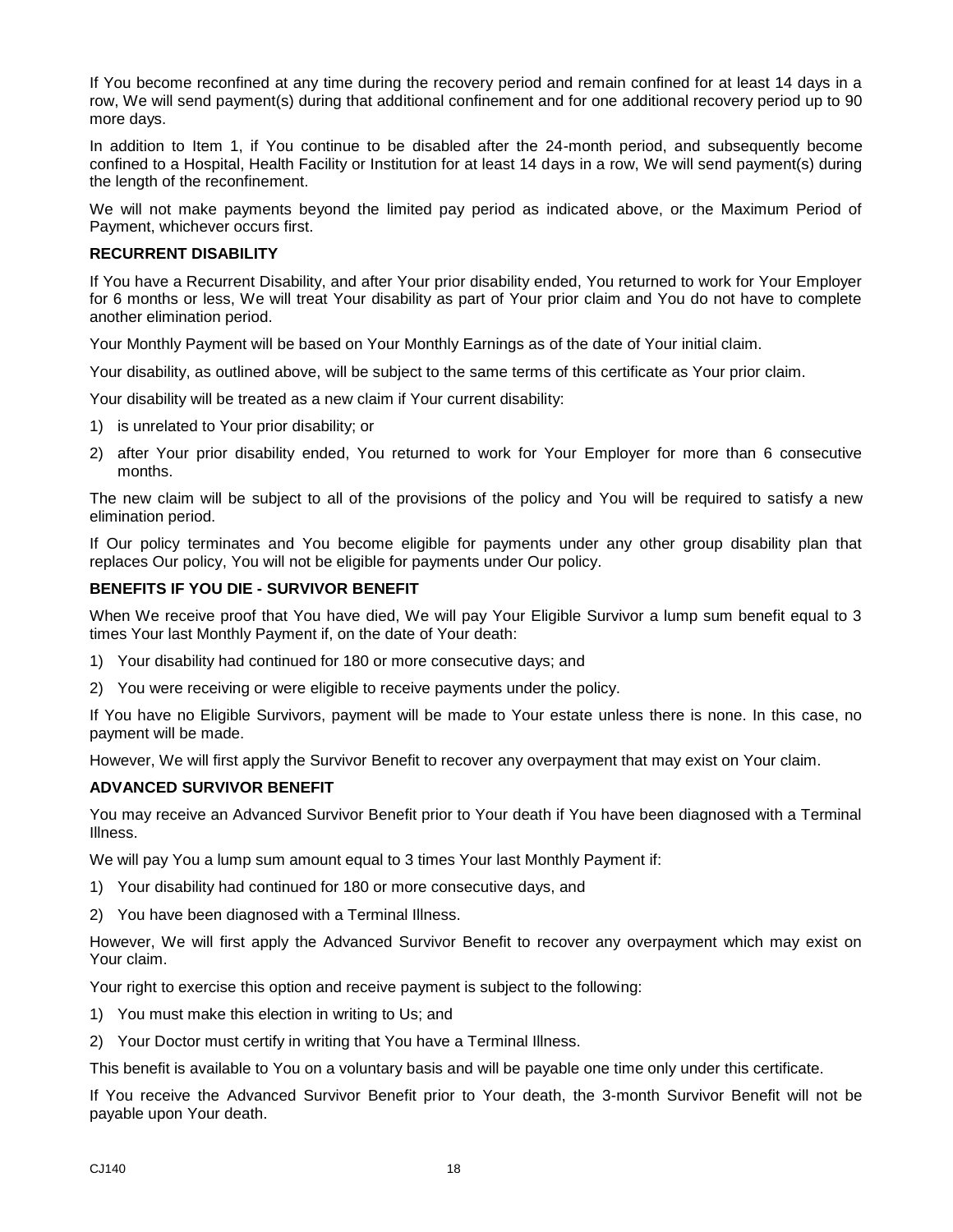If You become reconfined at any time during the recovery period and remain confined for at least 14 days in a row, We will send payment(s) during that additional confinement and for one additional recovery period up to 90 more days.

In addition to Item 1, if You continue to be disabled after the 24-month period, and subsequently become confined to a Hospital, Health Facility or Institution for at least 14 days in a row, We will send payment(s) during the length of the reconfinement.

We will not make payments beyond the limited pay period as indicated above, or the Maximum Period of Payment, whichever occurs first.

#### **RECURRENT DISABILITY**

If You have a Recurrent Disability, and after Your prior disability ended, You returned to work for Your Employer for 6 months or less, We will treat Your disability as part of Your prior claim and You do not have to complete another elimination period.

Your Monthly Payment will be based on Your Monthly Earnings as of the date of Your initial claim.

Your disability, as outlined above, will be subject to the same terms of this certificate as Your prior claim.

Your disability will be treated as a new claim if Your current disability:

- 1) is unrelated to Your prior disability; or
- 2) after Your prior disability ended, You returned to work for Your Employer for more than 6 consecutive months.

The new claim will be subject to all of the provisions of the policy and You will be required to satisfy a new elimination period.

If Our policy terminates and You become eligible for payments under any other group disability plan that replaces Our policy, You will not be eligible for payments under Our policy.

#### **BENEFITS IF YOU DIE - SURVIVOR BENEFIT**

When We receive proof that You have died, We will pay Your Eligible Survivor a lump sum benefit equal to 3 times Your last Monthly Payment if, on the date of Your death:

- 1) Your disability had continued for 180 or more consecutive days; and
- 2) You were receiving or were eligible to receive payments under the policy.

If You have no Eligible Survivors, payment will be made to Your estate unless there is none. In this case, no payment will be made.

However, We will first apply the Survivor Benefit to recover any overpayment that may exist on Your claim.

#### **ADVANCED SURVIVOR BENEFIT**

You may receive an Advanced Survivor Benefit prior to Your death if You have been diagnosed with a Terminal Illness.

We will pay You a lump sum amount equal to 3 times Your last Monthly Payment if:

- 1) Your disability had continued for 180 or more consecutive days, and
- 2) You have been diagnosed with a Terminal Illness.

However, We will first apply the Advanced Survivor Benefit to recover any overpayment which may exist on Your claim.

Your right to exercise this option and receive payment is subject to the following:

- 1) You must make this election in writing to Us; and
- 2) Your Doctor must certify in writing that You have a Terminal Illness.

This benefit is available to You on a voluntary basis and will be payable one time only under this certificate.

If You receive the Advanced Survivor Benefit prior to Your death, the 3-month Survivor Benefit will not be payable upon Your death.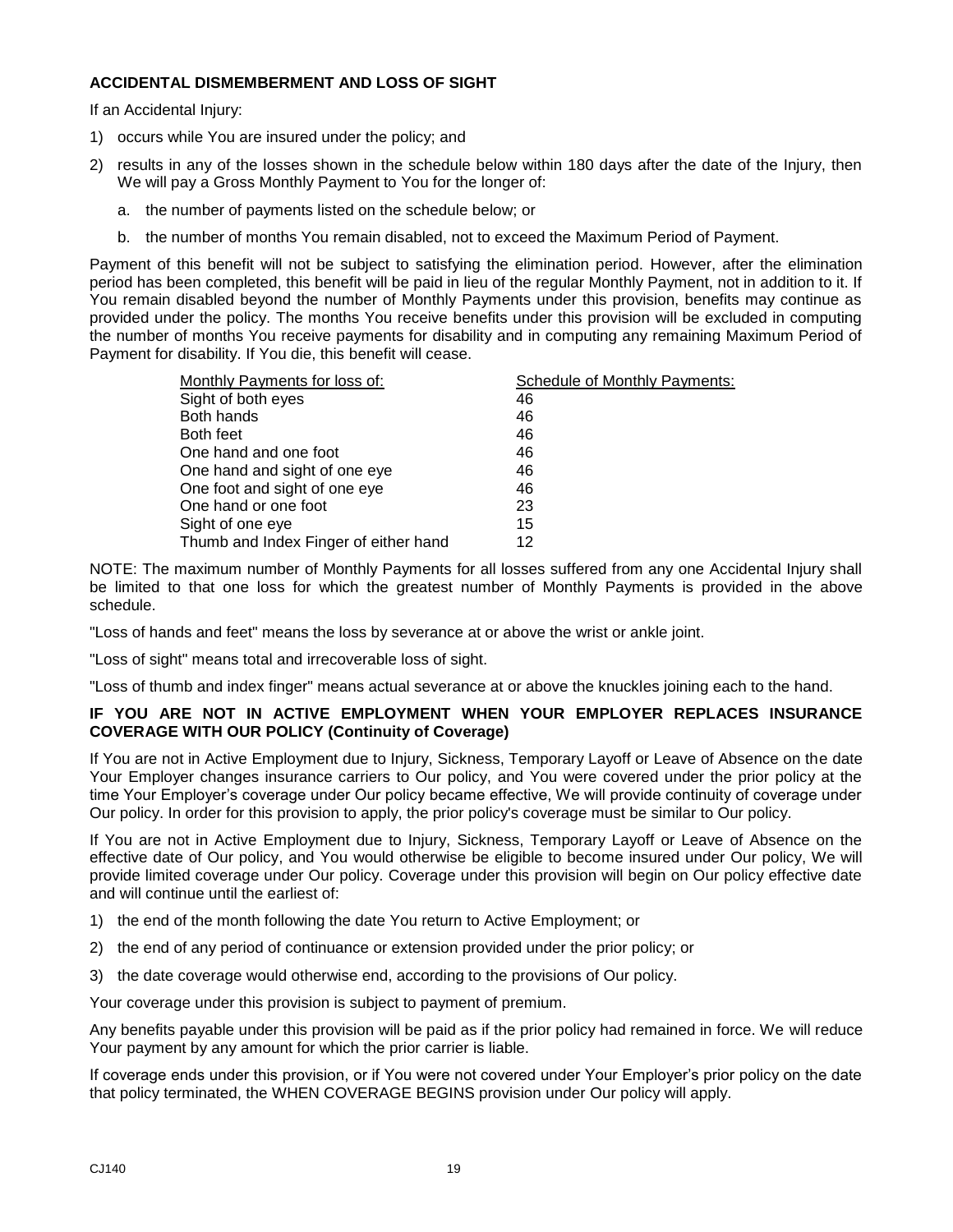#### **ACCIDENTAL DISMEMBERMENT AND LOSS OF SIGHT**

If an Accidental Injury:

- 1) occurs while You are insured under the policy; and
- 2) results in any of the losses shown in the schedule below within 180 days after the date of the Injury, then We will pay a Gross Monthly Payment to You for the longer of:
	- a. the number of payments listed on the schedule below; or
	- b. the number of months You remain disabled, not to exceed the Maximum Period of Payment.

Payment of this benefit will not be subject to satisfying the elimination period. However, after the elimination period has been completed, this benefit will be paid in lieu of the regular Monthly Payment, not in addition to it. If You remain disabled beyond the number of Monthly Payments under this provision, benefits may continue as provided under the policy. The months You receive benefits under this provision will be excluded in computing the number of months You receive payments for disability and in computing any remaining Maximum Period of Payment for disability. If You die, this benefit will cease.

| Monthly Payments for loss of:         | Schedule of Monthly Payments: |
|---------------------------------------|-------------------------------|
| Sight of both eyes                    | 46                            |
| Both hands                            | 46                            |
| Both feet                             | 46                            |
| One hand and one foot                 | 46                            |
| One hand and sight of one eye         | 46                            |
| One foot and sight of one eye         | 46                            |
| One hand or one foot                  | 23                            |
| Sight of one eye                      | 15                            |
| Thumb and Index Finger of either hand | 12                            |

NOTE: The maximum number of Monthly Payments for all losses suffered from any one Accidental Injury shall be limited to that one loss for which the greatest number of Monthly Payments is provided in the above schedule.

"Loss of hands and feet" means the loss by severance at or above the wrist or ankle joint.

"Loss of sight" means total and irrecoverable loss of sight.

"Loss of thumb and index finger" means actual severance at or above the knuckles joining each to the hand.

#### **IF YOU ARE NOT IN ACTIVE EMPLOYMENT WHEN YOUR EMPLOYER REPLACES INSURANCE COVERAGE WITH OUR POLICY (Continuity of Coverage)**

If You are not in Active Employment due to Injury, Sickness, Temporary Layoff or Leave of Absence on the date Your Employer changes insurance carriers to Our policy, and You were covered under the prior policy at the time Your Employer's coverage under Our policy became effective, We will provide continuity of coverage under Our policy. In order for this provision to apply, the prior policy's coverage must be similar to Our policy.

If You are not in Active Employment due to Injury, Sickness, Temporary Layoff or Leave of Absence on the effective date of Our policy, and You would otherwise be eligible to become insured under Our policy, We will provide limited coverage under Our policy. Coverage under this provision will begin on Our policy effective date and will continue until the earliest of:

- 1) the end of the month following the date You return to Active Employment; or
- 2) the end of any period of continuance or extension provided under the prior policy; or
- 3) the date coverage would otherwise end, according to the provisions of Our policy.

Your coverage under this provision is subject to payment of premium.

Any benefits payable under this provision will be paid as if the prior policy had remained in force. We will reduce Your payment by any amount for which the prior carrier is liable.

If coverage ends under this provision, or if You were not covered under Your Employer's prior policy on the date that policy terminated, the WHEN COVERAGE BEGINS provision under Our policy will apply.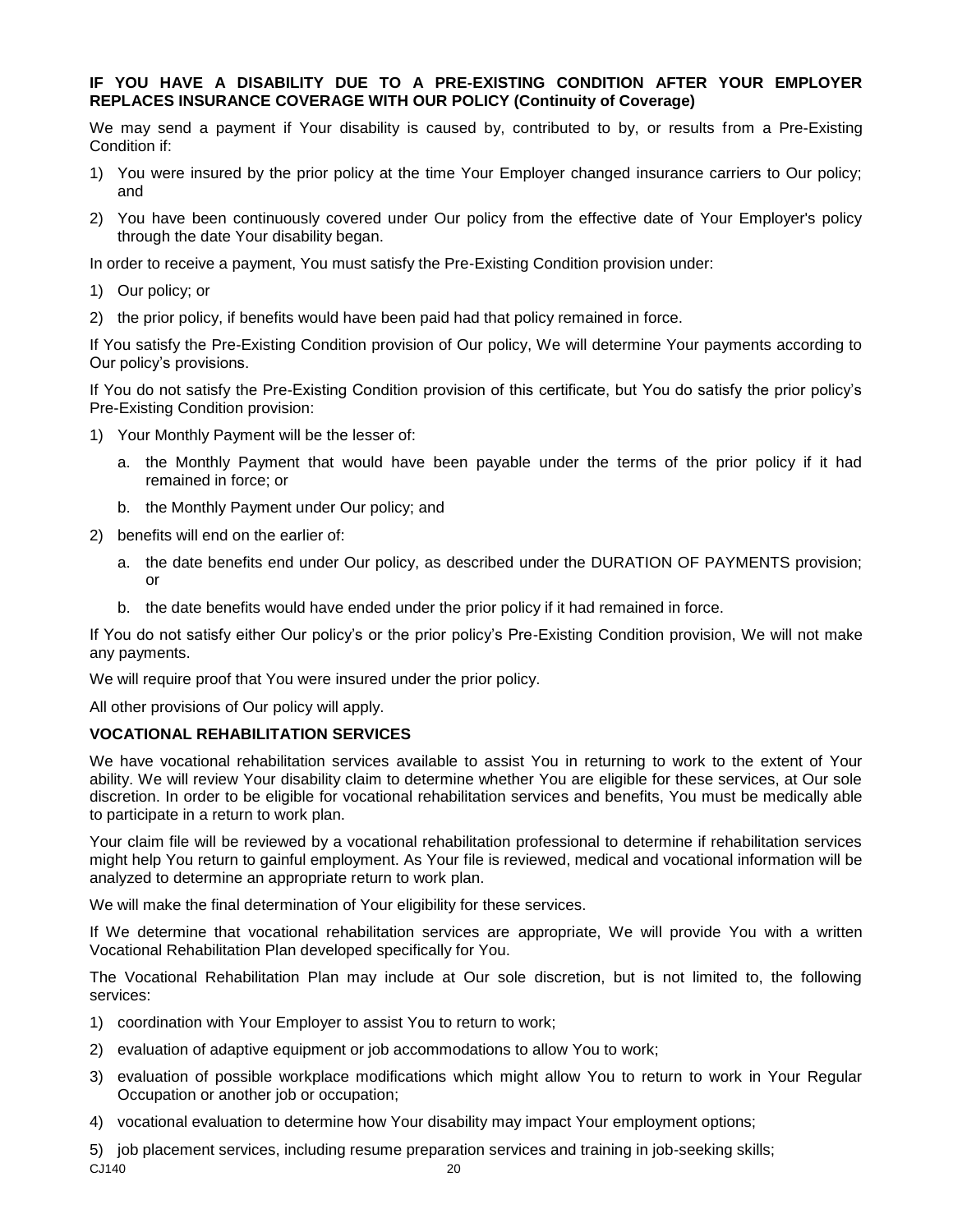#### **IF YOU HAVE A DISABILITY DUE TO A PRE-EXISTING CONDITION AFTER YOUR EMPLOYER REPLACES INSURANCE COVERAGE WITH OUR POLICY (Continuity of Coverage)**

We may send a payment if Your disability is caused by, contributed to by, or results from a Pre-Existing Condition if:

- 1) You were insured by the prior policy at the time Your Employer changed insurance carriers to Our policy; and
- 2) You have been continuously covered under Our policy from the effective date of Your Employer's policy through the date Your disability began.

In order to receive a payment, You must satisfy the Pre-Existing Condition provision under:

- 1) Our policy; or
- 2) the prior policy, if benefits would have been paid had that policy remained in force.

If You satisfy the Pre-Existing Condition provision of Our policy, We will determine Your payments according to Our policy's provisions.

If You do not satisfy the Pre-Existing Condition provision of this certificate, but You do satisfy the prior policy's Pre-Existing Condition provision:

- 1) Your Monthly Payment will be the lesser of:
	- a. the Monthly Payment that would have been payable under the terms of the prior policy if it had remained in force; or
	- b. the Monthly Payment under Our policy; and
- 2) benefits will end on the earlier of:
	- a. the date benefits end under Our policy, as described under the DURATION OF PAYMENTS provision; or
	- b. the date benefits would have ended under the prior policy if it had remained in force.

If You do not satisfy either Our policy's or the prior policy's Pre-Existing Condition provision, We will not make any payments.

We will require proof that You were insured under the prior policy.

All other provisions of Our policy will apply.

#### **VOCATIONAL REHABILITATION SERVICES**

We have vocational rehabilitation services available to assist You in returning to work to the extent of Your ability. We will review Your disability claim to determine whether You are eligible for these services, at Our sole discretion. In order to be eligible for vocational rehabilitation services and benefits, You must be medically able to participate in a return to work plan.

Your claim file will be reviewed by a vocational rehabilitation professional to determine if rehabilitation services might help You return to gainful employment. As Your file is reviewed, medical and vocational information will be analyzed to determine an appropriate return to work plan.

We will make the final determination of Your eligibility for these services.

If We determine that vocational rehabilitation services are appropriate, We will provide You with a written Vocational Rehabilitation Plan developed specifically for You.

The Vocational Rehabilitation Plan may include at Our sole discretion, but is not limited to, the following services:

- 1) coordination with Your Employer to assist You to return to work;
- 2) evaluation of adaptive equipment or job accommodations to allow You to work;
- 3) evaluation of possible workplace modifications which might allow You to return to work in Your Regular Occupation or another job or occupation;
- 4) vocational evaluation to determine how Your disability may impact Your employment options;

CJ140 20 5) job placement services, including resume preparation services and training in job-seeking skills;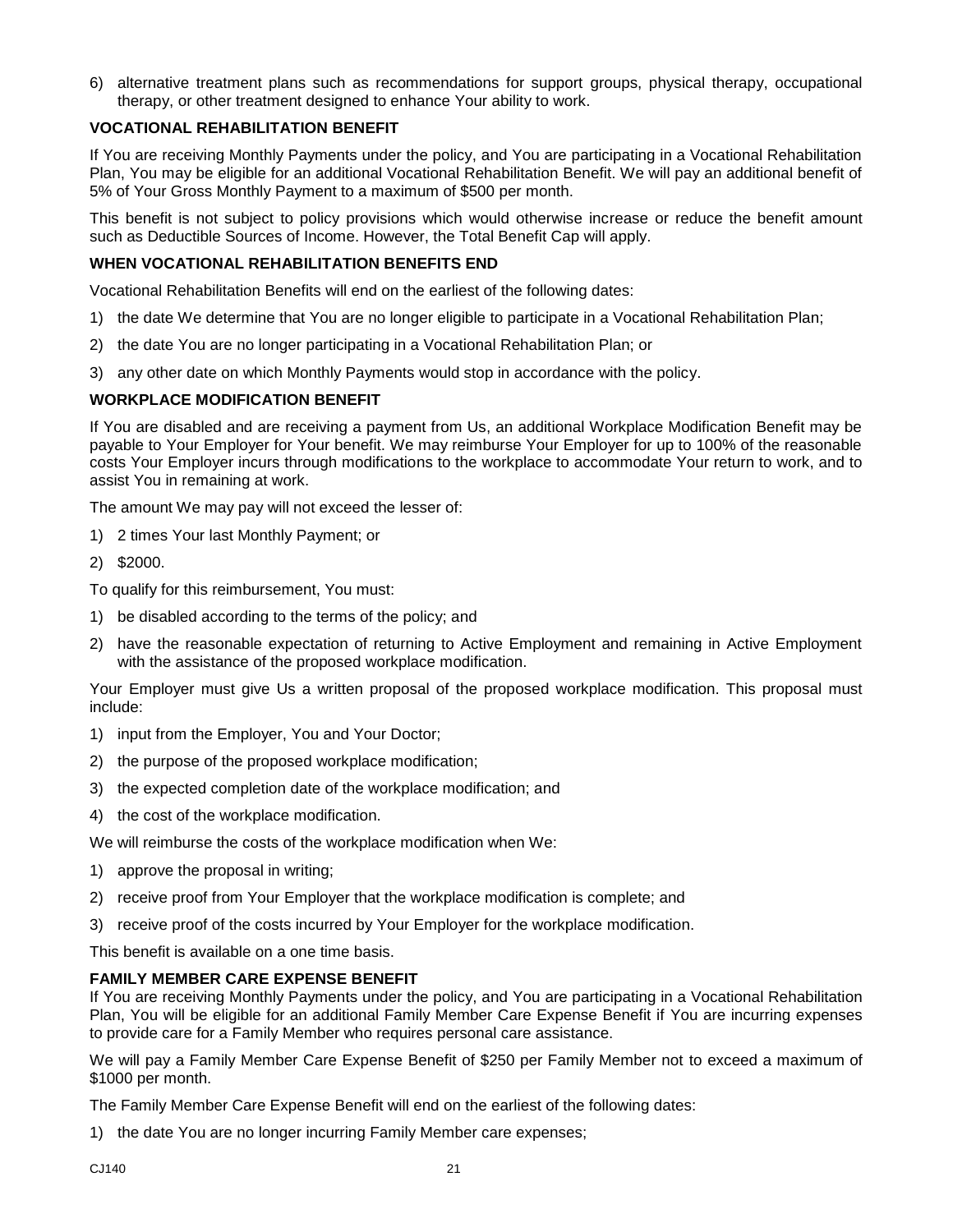6) alternative treatment plans such as recommendations for support groups, physical therapy, occupational therapy, or other treatment designed to enhance Your ability to work.

#### **VOCATIONAL REHABILITATION BENEFIT**

If You are receiving Monthly Payments under the policy, and You are participating in a Vocational Rehabilitation Plan, You may be eligible for an additional Vocational Rehabilitation Benefit. We will pay an additional benefit of 5% of Your Gross Monthly Payment to a maximum of \$500 per month.

This benefit is not subject to policy provisions which would otherwise increase or reduce the benefit amount such as Deductible Sources of Income. However, the Total Benefit Cap will apply.

#### **WHEN VOCATIONAL REHABILITATION BENEFITS END**

Vocational Rehabilitation Benefits will end on the earliest of the following dates:

- 1) the date We determine that You are no longer eligible to participate in a Vocational Rehabilitation Plan;
- 2) the date You are no longer participating in a Vocational Rehabilitation Plan; or
- 3) any other date on which Monthly Payments would stop in accordance with the policy.

#### **WORKPLACE MODIFICATION BENEFIT**

If You are disabled and are receiving a payment from Us, an additional Workplace Modification Benefit may be payable to Your Employer for Your benefit. We may reimburse Your Employer for up to 100% of the reasonable costs Your Employer incurs through modifications to the workplace to accommodate Your return to work, and to assist You in remaining at work.

The amount We may pay will not exceed the lesser of:

- 1) 2 times Your last Monthly Payment; or
- 2) \$2000.

To qualify for this reimbursement, You must:

- 1) be disabled according to the terms of the policy; and
- 2) have the reasonable expectation of returning to Active Employment and remaining in Active Employment with the assistance of the proposed workplace modification.

Your Employer must give Us a written proposal of the proposed workplace modification. This proposal must include:

- 1) input from the Employer, You and Your Doctor;
- 2) the purpose of the proposed workplace modification;
- 3) the expected completion date of the workplace modification; and
- 4) the cost of the workplace modification.

We will reimburse the costs of the workplace modification when We:

- 1) approve the proposal in writing;
- 2) receive proof from Your Employer that the workplace modification is complete; and
- 3) receive proof of the costs incurred by Your Employer for the workplace modification.

This benefit is available on a one time basis.

#### **FAMILY MEMBER CARE EXPENSE BENEFIT**

If You are receiving Monthly Payments under the policy, and You are participating in a Vocational Rehabilitation Plan, You will be eligible for an additional Family Member Care Expense Benefit if You are incurring expenses to provide care for a Family Member who requires personal care assistance.

We will pay a Family Member Care Expense Benefit of \$250 per Family Member not to exceed a maximum of \$1000 per month.

The Family Member Care Expense Benefit will end on the earliest of the following dates:

1) the date You are no longer incurring Family Member care expenses;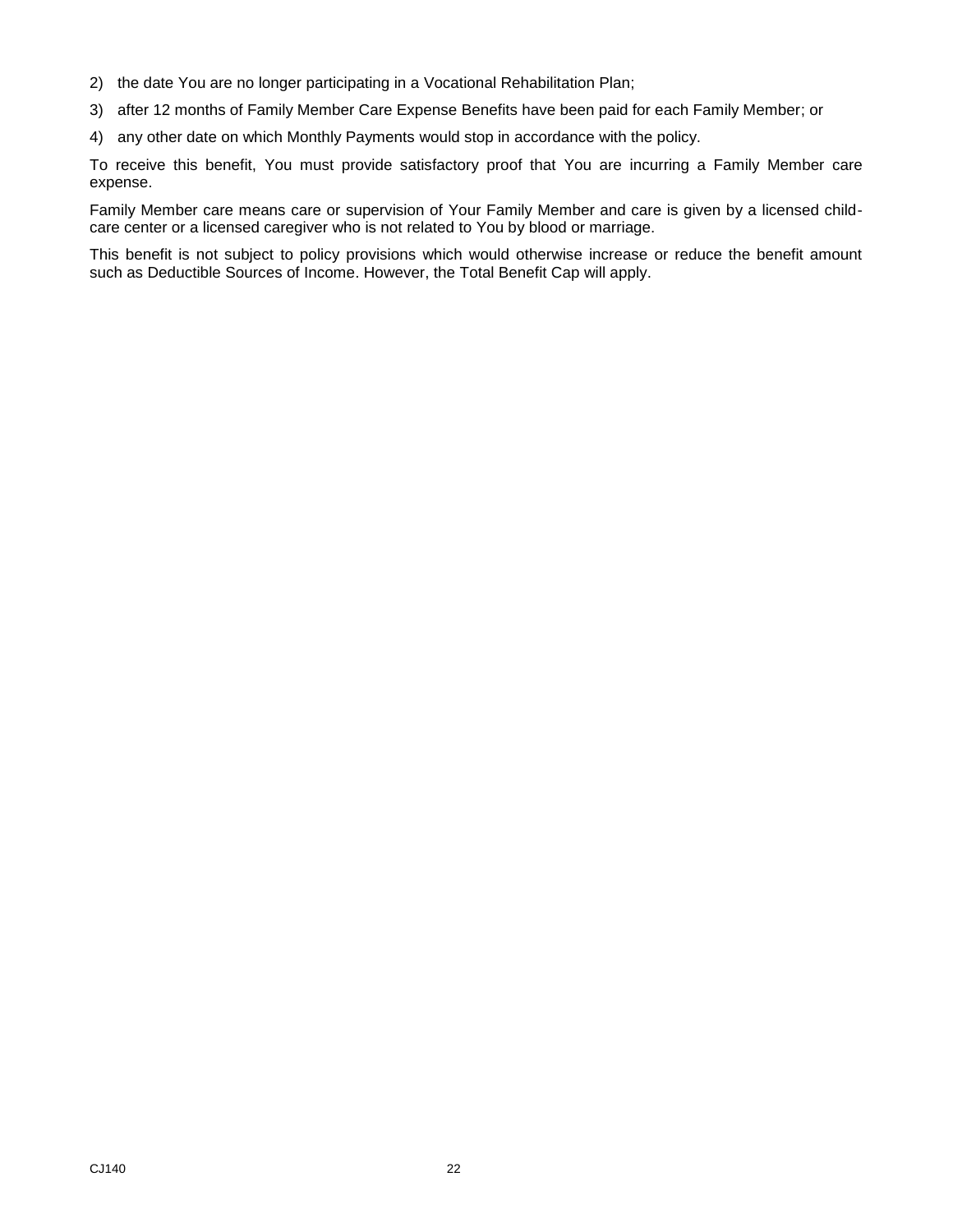- 2) the date You are no longer participating in a Vocational Rehabilitation Plan;
- 3) after 12 months of Family Member Care Expense Benefits have been paid for each Family Member; or
- 4) any other date on which Monthly Payments would stop in accordance with the policy.

To receive this benefit, You must provide satisfactory proof that You are incurring a Family Member care expense.

Family Member care means care or supervision of Your Family Member and care is given by a licensed childcare center or a licensed caregiver who is not related to You by blood or marriage.

This benefit is not subject to policy provisions which would otherwise increase or reduce the benefit amount such as Deductible Sources of Income. However, the Total Benefit Cap will apply.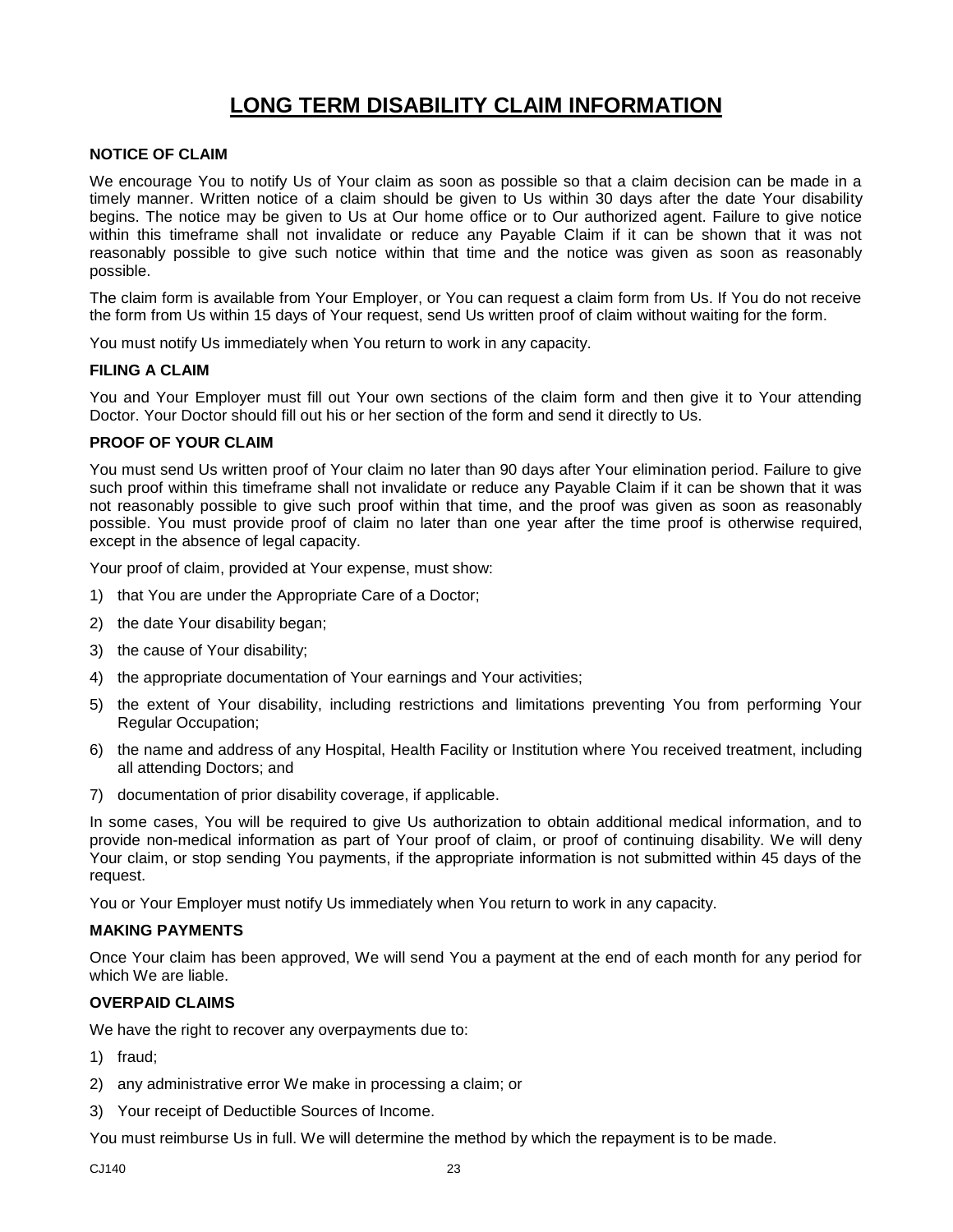# **LONG TERM DISABILITY CLAIM INFORMATION**

#### <span id="page-24-0"></span>**NOTICE OF CLAIM**

We encourage You to notify Us of Your claim as soon as possible so that a claim decision can be made in a timely manner. Written notice of a claim should be given to Us within 30 days after the date Your disability begins. The notice may be given to Us at Our home office or to Our authorized agent. Failure to give notice within this timeframe shall not invalidate or reduce any Payable Claim if it can be shown that it was not reasonably possible to give such notice within that time and the notice was given as soon as reasonably possible.

The claim form is available from Your Employer, or You can request a claim form from Us. If You do not receive the form from Us within 15 days of Your request, send Us written proof of claim without waiting for the form.

You must notify Us immediately when You return to work in any capacity.

#### **FILING A CLAIM**

You and Your Employer must fill out Your own sections of the claim form and then give it to Your attending Doctor. Your Doctor should fill out his or her section of the form and send it directly to Us.

#### **PROOF OF YOUR CLAIM**

You must send Us written proof of Your claim no later than 90 days after Your elimination period. Failure to give such proof within this timeframe shall not invalidate or reduce any Payable Claim if it can be shown that it was not reasonably possible to give such proof within that time, and the proof was given as soon as reasonably possible. You must provide proof of claim no later than one year after the time proof is otherwise required, except in the absence of legal capacity.

Your proof of claim, provided at Your expense, must show:

- 1) that You are under the Appropriate Care of a Doctor;
- 2) the date Your disability began;
- 3) the cause of Your disability;
- 4) the appropriate documentation of Your earnings and Your activities;
- 5) the extent of Your disability, including restrictions and limitations preventing You from performing Your Regular Occupation;
- 6) the name and address of any Hospital, Health Facility or Institution where You received treatment, including all attending Doctors; and
- 7) documentation of prior disability coverage, if applicable.

In some cases, You will be required to give Us authorization to obtain additional medical information, and to provide non-medical information as part of Your proof of claim, or proof of continuing disability. We will deny Your claim, or stop sending You payments, if the appropriate information is not submitted within 45 days of the request.

You or Your Employer must notify Us immediately when You return to work in any capacity.

#### **MAKING PAYMENTS**

Once Your claim has been approved, We will send You a payment at the end of each month for any period for which We are liable.

#### **OVERPAID CLAIMS**

We have the right to recover any overpayments due to:

- 1) fraud;
- 2) any administrative error We make in processing a claim; or
- 3) Your receipt of Deductible Sources of Income.

You must reimburse Us in full. We will determine the method by which the repayment is to be made.